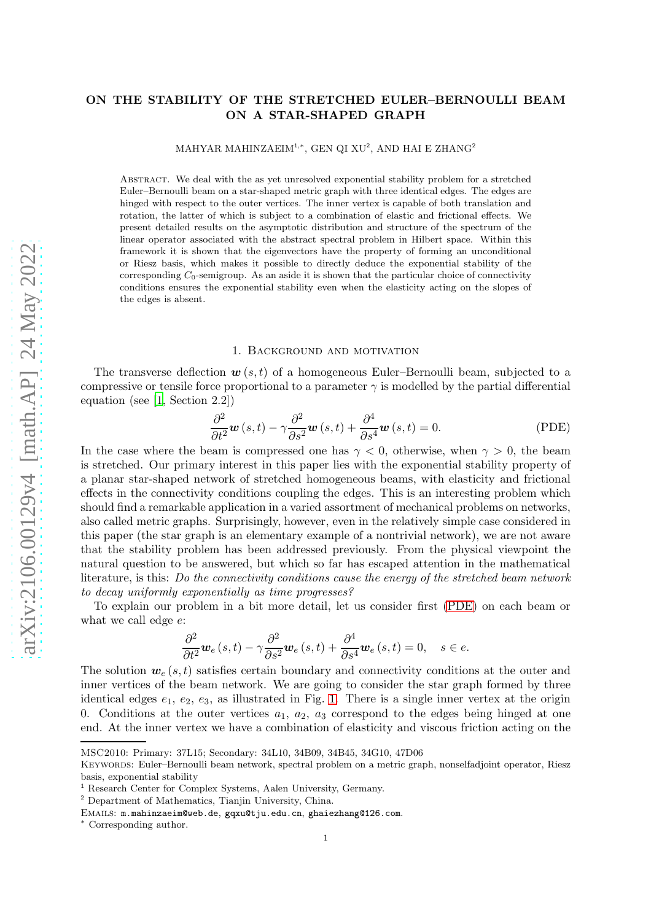# ON THE STABILITY OF THE STRETCHED EULER–BERNOULLI BEAM ON A STAR-SHAPED GRAPH

MAHYAR MAHINZAEIM $^{1,*},$  GEN QI XU $^{2},$  AND HAI E ZHANG $^{2}$ 

Abstract. We deal with the as yet unresolved exponential stability problem for a stretched Euler–Bernoulli beam on a star-shaped metric graph with three identical edges. The edges are hinged with respect to the outer vertices. The inner vertex is capable of both translation and rotation, the latter of which is subject to a combination of elastic and frictional effects. We present detailed results on the asymptotic distribution and structure of the spectrum of the linear operator associated with the abstract spectral problem in Hilbert space. Within this framework it is shown that the eigenvectors have the property of forming an unconditional or Riesz basis, which makes it possible to directly deduce the exponential stability of the corresponding  $C_0$ -semigroup. As an aside it is shown that the particular choice of connectivity conditions ensures the exponential stability even when the elasticity acting on the slopes of the edges is absent.

#### <span id="page-0-0"></span>1. Background and motivation

The transverse deflection  $w(s,t)$  of a homogeneous Euler–Bernoulli beam, subjected to a compressive or tensile force proportional to a parameter  $\gamma$  is modelled by the partial differential equation (see [\[1,](#page-23-0) Section 2.2])

$$
\frac{\partial^2}{\partial t^2} \mathbf{w}(s,t) - \gamma \frac{\partial^2}{\partial s^2} \mathbf{w}(s,t) + \frac{\partial^4}{\partial s^4} \mathbf{w}(s,t) = 0.
$$
 (PDE)

In the case where the beam is compressed one has  $\gamma < 0$ , otherwise, when  $\gamma > 0$ , the beam is stretched. Our primary interest in this paper lies with the exponential stability property of a planar star-shaped network of stretched homogeneous beams, with elasticity and frictional effects in the connectivity conditions coupling the edges. This is an interesting problem which should find a remarkable application in a varied assortment of mechanical problems on networks, also called metric graphs. Surprisingly, however, even in the relatively simple case considered in this paper (the star graph is an elementary example of a nontrivial network), we are not aware that the stability problem has been addressed previously. From the physical viewpoint the natural question to be answered, but which so far has escaped attention in the mathematical literature, is this: Do the connectivity conditions cause the energy of the stretched beam network to decay uniformly exponentially as time progresses?

To explain our problem in a bit more detail, let us consider first [\(PDE\)](#page-0-0) on each beam or what we call edge e:

$$
\frac{\partial^2}{\partial t^2}\mathbf{w}_e(s,t) - \gamma \frac{\partial^2}{\partial s^2}\mathbf{w}_e(s,t) + \frac{\partial^4}{\partial s^4}\mathbf{w}_e(s,t) = 0, \quad s \in e.
$$

The solution  $w_e(s,t)$  satisfies certain boundary and connectivity conditions at the outer and inner vertices of the beam network. We are going to consider the star graph formed by three identical edges  $e_1, e_2, e_3$ , as illustrated in Fig. [1.](#page-1-0) There is a single inner vertex at the origin 0. Conditions at the outer vertices  $a_1, a_2, a_3$  correspond to the edges being hinged at one end. At the inner vertex we have a combination of elasticity and viscous friction acting on the

MSC2010: Primary: 37L15; Secondary: 34L10, 34B09, 34B45, 34G10, 47D06

Keywords: Euler–Bernoulli beam network, spectral problem on a metric graph, nonselfadjoint operator, Riesz basis, exponential stability

<sup>1</sup> Research Center for Complex Systems, Aalen University, Germany.

<sup>2</sup> Department of Mathematics, Tianjin University, China.

Emails: m.mahinzaeim@web.de, gqxu@tju.edu.cn, ghaiezhang@126.com.

<sup>∗</sup> Corresponding author.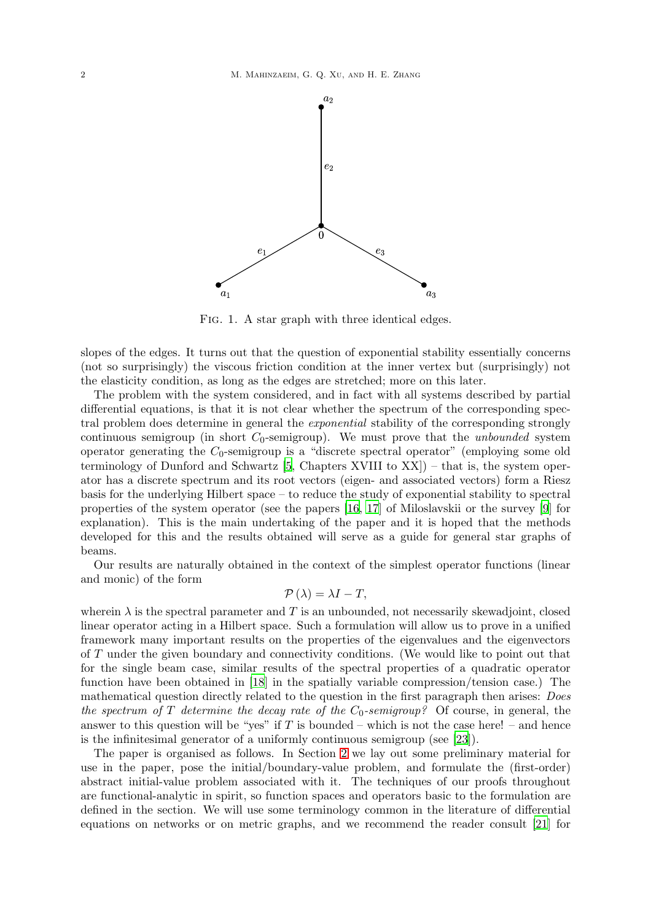<span id="page-1-0"></span>

FIG. 1. A star graph with three identical edges.

slopes of the edges. It turns out that the question of exponential stability essentially concerns (not so surprisingly) the viscous friction condition at the inner vertex but (surprisingly) not the elasticity condition, as long as the edges are stretched; more on this later.

The problem with the system considered, and in fact with all systems described by partial differential equations, is that it is not clear whether the spectrum of the corresponding spectral problem does determine in general the *exponential* stability of the corresponding strongly continuous semigroup (in short  $C_0$ -semigroup). We must prove that the *unbounded* system operator generating the  $C_0$ -semigroup is a "discrete spectral operator" (employing some old terminology of Dunford and Schwartz  $[5, Chapters XVIII]$  to  $XX$ ) – that is, the system operator has a discrete spectrum and its root vectors (eigen- and associated vectors) form a Riesz basis for the underlying Hilbert space – to reduce the study of exponential stability to spectral properties of the system operator (see the papers [\[16](#page-24-0), [17](#page-24-1)] of Miloslavskii or the survey [\[9](#page-23-2)] for explanation). This is the main undertaking of the paper and it is hoped that the methods developed for this and the results obtained will serve as a guide for general star graphs of beams.

Our results are naturally obtained in the context of the simplest operator functions (linear and monic) of the form

# $\mathcal{P}(\lambda) = \lambda I - T$ ,

wherein  $\lambda$  is the spectral parameter and T is an unbounded, not necessarily skewadjoint, closed linear operator acting in a Hilbert space. Such a formulation will allow us to prove in a unified framework many important results on the properties of the eigenvalues and the eigenvectors of T under the given boundary and connectivity conditions. (We would like to point out that for the single beam case, similar results of the spectral properties of a quadratic operator function have been obtained in [\[18\]](#page-24-2) in the spatially variable compression/tension case.) The mathematical question directly related to the question in the first paragraph then arises: *Does* the spectrum of T determine the decay rate of the  $C_0$ -semigroup? Of course, in general, the answer to this question will be "yes" if T is bounded – which is not the case here! – and hence is the infinitesimal generator of a uniformly continuous semigroup (see [\[23\]](#page-24-3)).

The paper is organised as follows. In Section [2](#page-2-0) we lay out some preliminary material for use in the paper, pose the initial/boundary-value problem, and formulate the (first-order) abstract initial-value problem associated with it. The techniques of our proofs throughout are functional-analytic in spirit, so function spaces and operators basic to the formulation are defined in the section. We will use some terminology common in the literature of differential equations on networks or on metric graphs, and we recommend the reader consult [\[21](#page-24-4)] for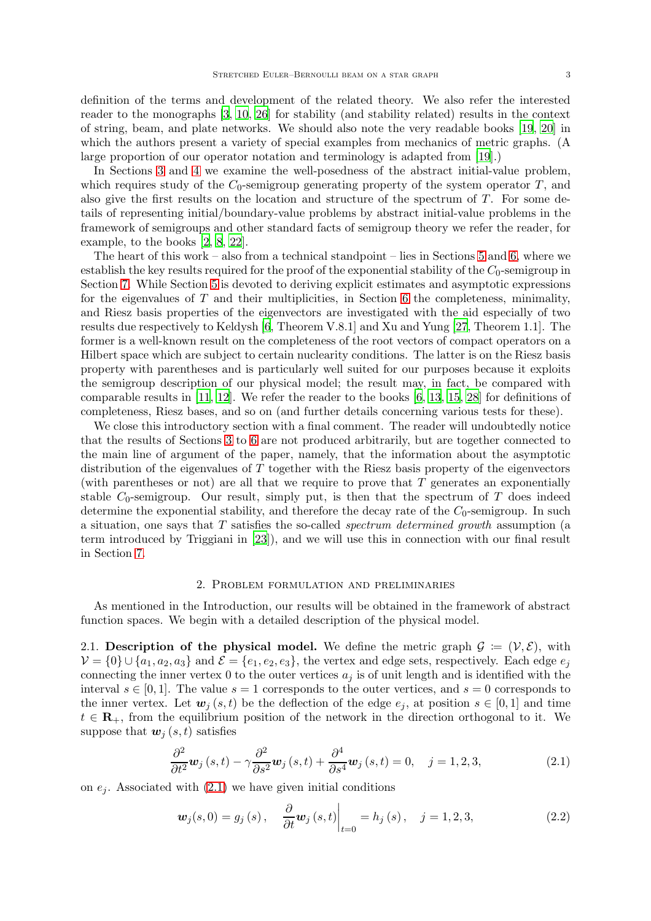definition of the terms and development of the related theory. We also refer the interested reader to the monographs [\[3](#page-23-3), [10](#page-23-4), [26\]](#page-24-5) for stability (and stability related) results in the context of string, beam, and plate networks. We should also note the very readable books [\[19](#page-24-6), [20](#page-24-7)] in which the authors present a variety of special examples from mechanics of metric graphs. (A large proportion of our operator notation and terminology is adapted from [\[19](#page-24-6)].)

In Sections [3](#page-5-0) and [4](#page-10-0) we examine the well-posedness of the abstract initial-value problem, which requires study of the  $C_0$ -semigroup generating property of the system operator  $T$ , and also give the first results on the location and structure of the spectrum of T. For some details of representing initial/boundary-value problems by abstract initial-value problems in the framework of semigroups and other standard facts of semigroup theory we refer the reader, for example, to the books [\[2](#page-23-5), [8](#page-23-6), [22](#page-24-8)].

The heart of this work – also from a technical standpoint – lies in Sections [5](#page-13-0) and [6,](#page-20-0) where we establish the key results required for the proof of the exponential stability of the  $C_0$ -semigroup in Section [7.](#page-23-7) While Section [5](#page-13-0) is devoted to deriving explicit estimates and asymptotic expressions for the eigenvalues of  $T$  and their multiplicities, in Section [6](#page-20-0) the completeness, minimality, and Riesz basis properties of the eigenvectors are investigated with the aid especially of two results due respectively to Keldysh [\[6](#page-23-8), Theorem V.8.1] and Xu and Yung [\[27](#page-24-9), Theorem 1.1]. The former is a well-known result on the completeness of the root vectors of compact operators on a Hilbert space which are subject to certain nuclearity conditions. The latter is on the Riesz basis property with parentheses and is particularly well suited for our purposes because it exploits the semigroup description of our physical model; the result may, in fact, be compared with comparable results in [\[11](#page-23-9), [12](#page-23-10)]. We refer the reader to the books [\[6,](#page-23-8) [13](#page-23-11), [15](#page-24-10), [28\]](#page-24-11) for definitions of completeness, Riesz bases, and so on (and further details concerning various tests for these).

We close this introductory section with a final comment. The reader will undoubtedly notice that the results of Sections [3](#page-5-0) to [6](#page-20-0) are not produced arbitrarily, but are together connected to the main line of argument of the paper, namely, that the information about the asymptotic distribution of the eigenvalues of T together with the Riesz basis property of the eigenvectors (with parentheses or not) are all that we require to prove that T generates an exponentially stable  $C_0$ -semigroup. Our result, simply put, is then that the spectrum of T does indeed determine the exponential stability, and therefore the decay rate of the  $C_0$ -semigroup. In such a situation, one says that T satisfies the so-called spectrum determined growth assumption (a term introduced by Triggiani in [\[23\]](#page-24-3)), and we will use this in connection with our final result in Section [7.](#page-23-7)

#### 2. Problem formulation and preliminaries

<span id="page-2-0"></span>As mentioned in the Introduction, our results will be obtained in the framework of abstract function spaces. We begin with a detailed description of the physical model.

2.1. Description of the physical model. We define the metric graph  $\mathcal{G} := (\mathcal{V}, \mathcal{E})$ , with  $V = \{0\} \cup \{a_1, a_2, a_3\}$  and  $\mathcal{E} = \{e_1, e_2, e_3\}$ , the vertex and edge sets, respectively. Each edge  $e_j$ connecting the inner vertex 0 to the outer vertices  $a_j$  is of unit length and is identified with the interval  $s \in [0,1]$ . The value  $s = 1$  corresponds to the outer vertices, and  $s = 0$  corresponds to the inner vertex. Let  $w_i(s,t)$  be the deflection of the edge  $e_i$ , at position  $s \in [0,1]$  and time  $t \in \mathbf{R}_+$ , from the equilibrium position of the network in the direction orthogonal to it. We suppose that  $w_i(s, t)$  satisfies

<span id="page-2-1"></span>
$$
\frac{\partial^2}{\partial t^2} \mathbf{w}_j \left( s, t \right) - \gamma \frac{\partial^2}{\partial s^2} \mathbf{w}_j \left( s, t \right) + \frac{\partial^4}{\partial s^4} \mathbf{w}_j \left( s, t \right) = 0, \quad j = 1, 2, 3,
$$
\n(2.1)

on  $e_i$ . Associated with  $(2.1)$  we have given initial conditions

$$
\boldsymbol{w}_{j}(s,0) = g_{j}(s), \quad \frac{\partial}{\partial t} \boldsymbol{w}_{j}(s,t) \Big|_{t=0} = h_{j}(s), \quad j = 1,2,3,
$$
\n(2.2)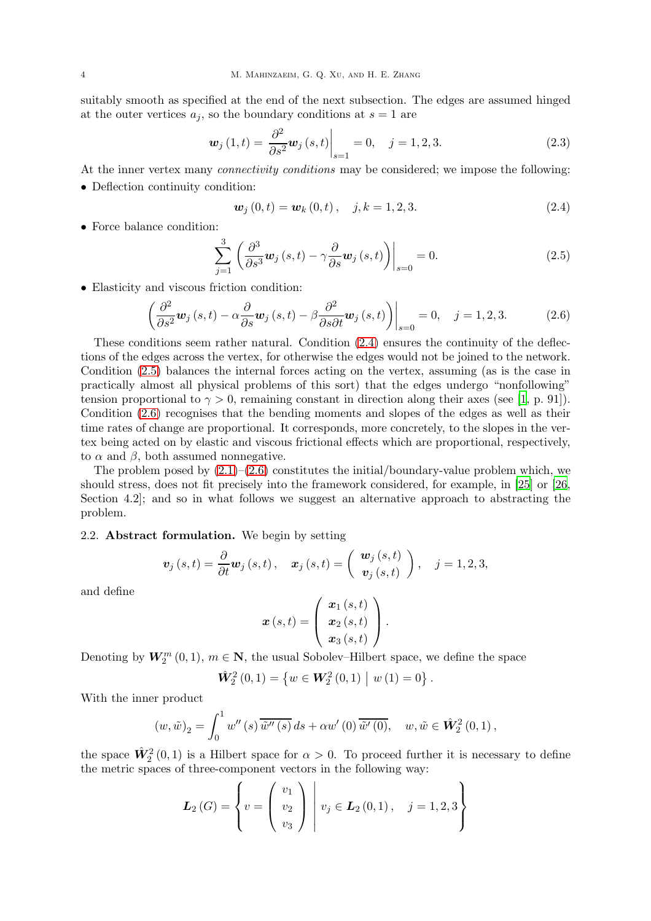suitably smooth as specified at the end of the next subsection. The edges are assumed hinged at the outer vertices  $a_i$ , so the boundary conditions at  $s = 1$  are

<span id="page-3-3"></span>
$$
\boldsymbol{w}_{j}(1,t) = \left. \frac{\partial^{2}}{\partial s^{2}} \boldsymbol{w}_{j}(s,t) \right|_{s=1} = 0, \quad j = 1,2,3. \tag{2.3}
$$

At the inner vertex many *connectivity conditions* may be considered; we impose the following:

• Deflection continuity condition:

<span id="page-3-0"></span>
$$
\mathbf{w}_{j}(0,t) = \mathbf{w}_{k}(0,t), \quad j,k = 1,2,3. \tag{2.4}
$$

• Force balance condition:

<span id="page-3-1"></span>
$$
\sum_{j=1}^{3} \left( \frac{\partial^3}{\partial s^3} \mathbf{w}_j \left( s, t \right) - \gamma \frac{\partial}{\partial s} \mathbf{w}_j \left( s, t \right) \right) \Big|_{s=0} = 0. \tag{2.5}
$$

• Elasticity and viscous friction condition:

<span id="page-3-2"></span>
$$
\left(\frac{\partial^2}{\partial s^2}\mathbf{w}_j\left(s,t\right)-\alpha\frac{\partial}{\partial s}\mathbf{w}_j\left(s,t\right)-\beta\frac{\partial^2}{\partial s\partial t}\mathbf{w}_j\left(s,t\right)\right)\bigg|_{s=0}=0, \quad j=1,2,3. \tag{2.6}
$$

These conditions seem rather natural. Condition [\(2.4\)](#page-3-0) ensures the continuity of the deflections of the edges across the vertex, for otherwise the edges would not be joined to the network. Condition [\(2.5\)](#page-3-1) balances the internal forces acting on the vertex, assuming (as is the case in practically almost all physical problems of this sort) that the edges undergo "nonfollowing" tension proportional to  $\gamma > 0$ , remaining constant in direction along their axes (see [\[1](#page-23-0), p. 91]). Condition [\(2.6\)](#page-3-2) recognises that the bending moments and slopes of the edges as well as their time rates of change are proportional. It corresponds, more concretely, to the slopes in the vertex being acted on by elastic and viscous frictional effects which are proportional, respectively, to  $\alpha$  and  $\beta$ , both assumed nonnegative.

The problem posed by  $(2.1)$ – $(2.6)$  constitutes the initial/boundary-value problem which, we should stress, does not fit precisely into the framework considered, for example, in [\[25](#page-24-12)] or [\[26](#page-24-5), Section 4.2]; and so in what follows we suggest an alternative approach to abstracting the problem.

# 2.2. Abstract formulation. We begin by setting

$$
\boldsymbol{v}_j(s,t)=\frac{\partial}{\partial t}\boldsymbol{w}_j(s,t)\,,\quad \boldsymbol{x}_j(s,t)=\left(\begin{array}{c} \boldsymbol{w}_j\left(s,t\right) \\ \boldsymbol{v}_j\left(s,t\right) \end{array}\right),\quad j=1,2,3,
$$

and define

$$
\boldsymbol{x}\left(s,t\right)=\left(\begin{array}{c} \boldsymbol{x}_{1}\left(s,t\right) \\ \boldsymbol{x}_{2}\left(s,t\right) \\ \boldsymbol{x}_{3}\left(s,t\right) \end{array}\right).
$$

Denoting by  $W_2^m(0,1)$ ,  $m \in \mathbb{N}$ , the usual Sobolev–Hilbert space, we define the space

$$
\hat{\mathbf{W}}_2^2(0,1) = \{ w \in \mathbf{W}_2^2(0,1) \mid w(1) = 0 \}.
$$

With the inner product

$$
(w,\tilde{w})_2 = \int_0^1 w''(s)\overline{\tilde{w}''(s)}ds + \alpha w'(0)\overline{\tilde{w}'(0)}, \quad w,\tilde{w} \in \hat{W}_2^2(0,1),
$$

the space  $\hat{W}_2^2(0,1)$  is a Hilbert space for  $\alpha > 0$ . To proceed further it is necessary to define the metric spaces of three-component vectors in the following way:

$$
L_2(G) = \left\{ v = \begin{pmatrix} v_1 \\ v_2 \\ v_3 \end{pmatrix} \middle| v_j \in L_2(0,1), \quad j = 1,2,3 \right\}
$$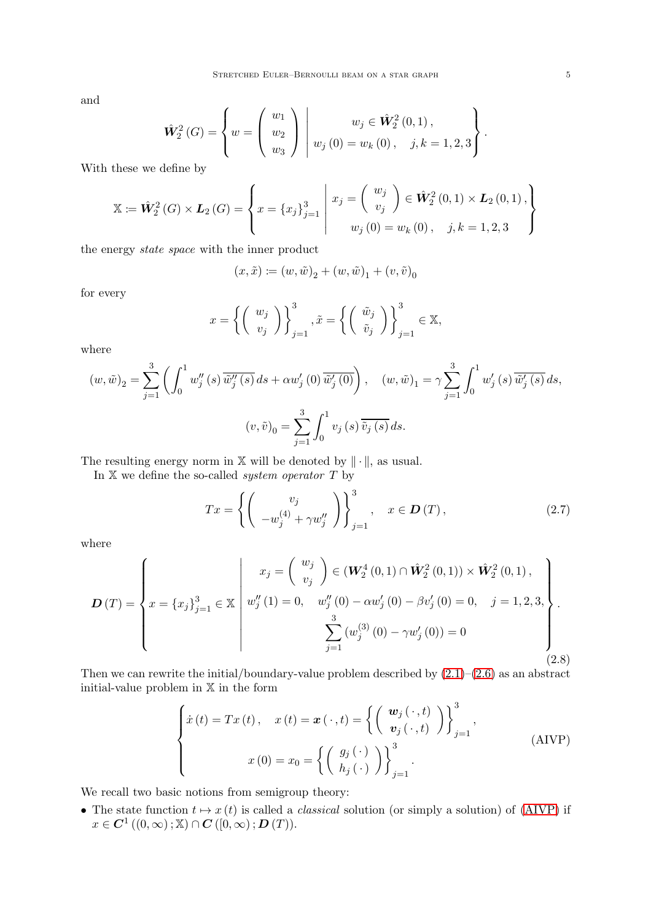and

$$
\hat{\mathbf{W}}_2^2(G) = \left\{ w = \begin{pmatrix} w_1 \\ w_2 \\ w_3 \end{pmatrix} \middle| \begin{array}{l} w_j \in \hat{\mathbf{W}}_2^2(0,1), \\ w_j(0) = w_k(0), \quad j,k = 1,2,3 \end{array} \right\}.
$$

With these we define by

$$
\mathbb{X} := \hat{\mathbf{W}}_2^2(G) \times \mathbf{L}_2(G) = \left\{ x = \{x_j\}_{j=1}^3 \middle| \begin{array}{c} x_j = \begin{pmatrix} w_j \\ v_j \end{pmatrix} \in \hat{\mathbf{W}}_2^2(0,1) \times \mathbf{L}_2(0,1), \\ w_j(0) = w_k(0), \quad j,k = 1,2,3 \end{array} \right\}
$$

the energy state space with the inner product

$$
(x,\tilde x)\coloneqq (w,\tilde w)_2+(w,\tilde w)_1+(v,\tilde v)_0
$$

for every

$$
x = \left\{ \begin{pmatrix} w_j \\ v_j \end{pmatrix} \right\}_{j=1}^3, \tilde{x} = \left\{ \begin{pmatrix} \tilde{w}_j \\ \tilde{v}_j \end{pmatrix} \right\}_{j=1}^3 \in \mathbb{X},
$$

where

$$
(w, \tilde{w})_2 = \sum_{j=1}^3 \left( \int_0^1 w_j''(s) \overline{\tilde{w}_j''(s)} ds + \alpha w_j'(0) \overline{\tilde{w}_j'(0)} \right), \quad (w, \tilde{w})_1 = \gamma \sum_{j=1}^3 \int_0^1 w_j'(s) \overline{\tilde{w}_j'(s)} ds,
$$

$$
(v, \tilde{v})_0 = \sum_{j=1}^3 \int_0^1 v_j(s) \overline{\tilde{v}_j(s)} ds.
$$

The resulting energy norm in  $X$  will be denoted by  $\|\cdot\|$ , as usual.

In  $X$  we define the so-called *system operator*  $T$  by

<span id="page-4-1"></span>
$$
Tx = \left\{ \left( \begin{array}{c} v_j \\ -w_j^{(4)} + \gamma w_j'' \end{array} \right) \right\}_{j=1}^3, \quad x \in \mathbf{D}(T), \tag{2.7}
$$

where

<span id="page-4-2"></span>
$$
\boldsymbol{D}(T) = \begin{cases} x_j = \begin{pmatrix} w_j \\ v_j \end{pmatrix} \in (\mathbf{W}_2^4(0,1) \cap \hat{\mathbf{W}}_2^2(0,1)) \times \hat{\mathbf{W}}_2^2(0,1), \\ x = \{x_j\}_{j=1}^3 \in \mathbb{X} \end{cases} w_j''(1) = 0, \quad w_j''(0) - \alpha w_j'(0) - \beta v_j'(0) = 0, \quad j = 1, 2, 3, \dots, \sum_{j=1}^3 (w_j^{(3)}(0) - \gamma w_j'(0)) = 0 \end{cases}.
$$
\n(2.8)

Then we can rewrite the initial/boundary-value problem described by  $(2.1)$ – $(2.6)$  as an abstract initial-value problem in  $\mathbb X$  in the form

<span id="page-4-0"></span>
$$
\begin{cases}\n\dot{x}(t) = Tx(t), & x(t) = x(\cdot, t) = \left\{ \begin{pmatrix} \mathbf{w}_j(\cdot, t) \\ \mathbf{v}_j(\cdot, t) \end{pmatrix} \right\}_{j=1}^3, \\
x(0) = x_0 = \left\{ \begin{pmatrix} g_j(\cdot) \\ h_j(\cdot) \end{pmatrix} \right\}_{j=1}^3.\n\end{cases} \tag{AIVP}
$$

We recall two basic notions from semigroup theory:

• The state function  $t \mapsto x(t)$  is called a *classical* solution (or simply a solution) of [\(AIVP\)](#page-4-0) if  $x \in \mathbf{C}^1\left((0,\infty)\,;\mathbb{X}\right) \cap \mathbf{C}\left([0,\infty)\,;\mathbf{D}\left(T\right)\right).$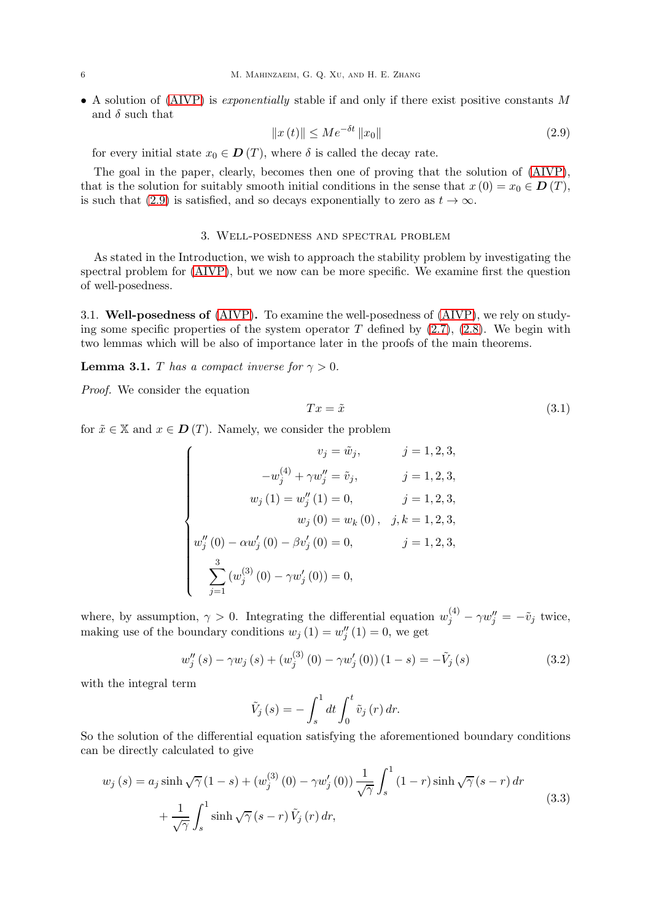• A solution of [\(AIVP\)](#page-4-0) is *exponentially* stable if and only if there exist positive constants M and  $\delta$  such that

<span id="page-5-1"></span>
$$
||x(t)|| \le Me^{-\delta t} ||x_0|| \tag{2.9}
$$

for every initial state  $x_0 \in \mathbf{D}(T)$ , where  $\delta$  is called the decay rate.

The goal in the paper, clearly, becomes then one of proving that the solution of [\(AIVP\)](#page-4-0), that is the solution for suitably smooth initial conditions in the sense that  $x(0) = x_0 \in D(T)$ , is such that [\(2.9\)](#page-5-1) is satisfied, and so decays exponentially to zero as  $t \to \infty$ .

# 3. Well-posedness and spectral problem

<span id="page-5-0"></span>As stated in the Introduction, we wish to approach the stability problem by investigating the spectral problem for [\(AIVP\)](#page-4-0), but we now can be more specific. We examine first the question of well-posedness.

3.1. Well-posedness of [\(AIVP\)](#page-4-0). To examine the well-posedness of [\(AIVP\)](#page-4-0), we rely on studying some specific properties of the system operator  $T$  defined by  $(2.7)$ ,  $(2.8)$ . We begin with two lemmas which will be also of importance later in the proofs of the main theorems.

<span id="page-5-5"></span>**Lemma 3.1.** T has a compact inverse for  $\gamma > 0$ .

Proof. We consider the equation

<span id="page-5-4"></span>
$$
Tx = \tilde{x} \tag{3.1}
$$

for  $\tilde{x} \in \mathbb{X}$  and  $x \in D(T)$ . Namely, we consider the problem

$$
\begin{cases}\nv_j = \tilde{w}_j, & j = 1, 2, 3, \\
-v_j^{(4)} + \gamma w_j'' = \tilde{v}_j, & j = 1, 2, 3, \\
w_j(1) = w_j''(1) = 0, & j = 1, 2, 3, \\
w_j(0) = w_k(0), & j, k = 1, 2, 3, \\
w_j''(0) - \alpha w_j'(0) - \beta v_j'(0) = 0, & j = 1, 2, 3, \\
\sum_{j=1}^3 (w_j^{(3)}(0) - \gamma w_j'(0)) = 0,\n\end{cases}
$$

where, by assumption,  $\gamma > 0$ . Integrating the differential equation  $w_j^{(4)} - \gamma w_j^{\prime\prime} = -\tilde{v}_j$  twice, making use of the boundary conditions  $w_j(1) = w''_j(1) = 0$ , we get

<span id="page-5-3"></span>
$$
w''_j(s) - \gamma w_j(s) + (w_j^{(3)}(0) - \gamma w'_j(0))(1 - s) = -\tilde{V}_j(s)
$$
\n(3.2)

with the integral term

$$
\tilde{V}_j\left(s\right) = -\int_s^1 dt \int_0^t \tilde{v}_j\left(r\right) dr.
$$

So the solution of the differential equation satisfying the aforementioned boundary conditions can be directly calculated to give

<span id="page-5-2"></span>
$$
w_j(s) = a_j \sinh \sqrt{\gamma} (1 - s) + (w_j^{(3)}(0) - \gamma w_j'(0)) \frac{1}{\sqrt{\gamma}} \int_s^1 (1 - r) \sinh \sqrt{\gamma} (s - r) dr + \frac{1}{\sqrt{\gamma}} \int_s^1 \sinh \sqrt{\gamma} (s - r) \tilde{V}_j(r) dr,
$$
\n(3.3)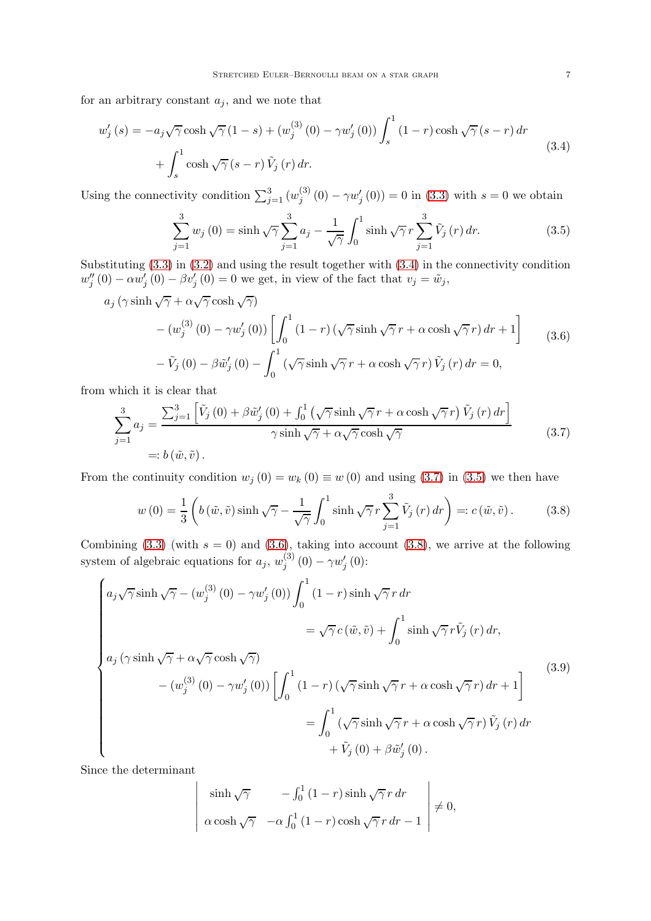for an arbitrary constant  $a_j$ , and we note that

<span id="page-6-0"></span>
$$
w'_{j}(s) = -a_{j}\sqrt{\gamma}\cosh\sqrt{\gamma}\left(1-s\right) + \left(w_{j}^{(3)}\left(0\right) - \gamma w'_{j}\left(0\right)\right)\int_{s}^{1}\left(1-r\right)\cosh\sqrt{\gamma}\left(s-r\right)dr
$$
  
+ 
$$
\int_{s}^{1}\cosh\sqrt{\gamma}\left(s-r\right)\tilde{V}_{j}\left(r\right)dr.
$$
 (3.4)

Using the connectivity condition  $\sum_{j=1}^{3} (w_j^{(3)})$  $j_{j}^{(0)}(0) - \gamma w'_{j}(0) = 0$  in [\(3.3\)](#page-5-2) with  $s = 0$  we obtain

<span id="page-6-2"></span>
$$
\sum_{j=1}^{3} w_j(0) = \sinh\sqrt{\gamma} \sum_{j=1}^{3} a_j - \frac{1}{\sqrt{\gamma}} \int_0^1 \sinh\sqrt{\gamma} r \sum_{j=1}^{3} \tilde{V}_j(r) dr.
$$
 (3.5)

Substituting [\(3.3\)](#page-5-2) in [\(3.2\)](#page-5-3) and using the result together with [\(3.4\)](#page-6-0) in the connectivity condition  $w''_j(0) - \alpha w'_j(0) - \beta v'_j(0) = 0$  we get, in view of the fact that  $v_j = \tilde{w}_j$ ,

<span id="page-6-3"></span>
$$
a_j \left(\gamma \sinh \sqrt{\gamma} + \alpha \sqrt{\gamma} \cosh \sqrt{\gamma}\right)
$$
  
 
$$
- \left(w_j^{(3)}\left(0\right) - \gamma w_j'\left(0\right)\right) \left[\int_0^1 (1-r) \left(\sqrt{\gamma} \sinh \sqrt{\gamma} r + \alpha \cosh \sqrt{\gamma} r\right) dr + 1\right]
$$
  
 
$$
- \tilde{V}_j\left(0\right) - \beta \tilde{w}_j'\left(0\right) - \int_0^1 \left(\sqrt{\gamma} \sinh \sqrt{\gamma} r + \alpha \cosh \sqrt{\gamma} r\right) \tilde{V}_j\left(r\right) dr = 0,
$$
 (3.6)

from which it is clear that

<span id="page-6-1"></span>
$$
\sum_{j=1}^{3} a_j = \frac{\sum_{j=1}^{3} \left[ \tilde{V}_j(0) + \beta \tilde{w}'_j(0) + \int_0^1 \left( \sqrt{\gamma} \sinh \sqrt{\gamma} r + \alpha \cosh \sqrt{\gamma} r \right) \tilde{V}_j(r) dr \right]}{\gamma \sinh \sqrt{\gamma} + \alpha \sqrt{\gamma} \cosh \sqrt{\gamma}}
$$
\n
$$
= b(\tilde{w}, \tilde{v}). \tag{3.7}
$$

From the continuity condition  $w_j(0) = w_k(0) \equiv w(0)$  and using [\(3.7\)](#page-6-1) in [\(3.5\)](#page-6-2) we then have

<span id="page-6-4"></span>
$$
w(0) = \frac{1}{3} \left( b\left(\tilde{w}, \tilde{v}\right) \sinh\sqrt{\gamma} - \frac{1}{\sqrt{\gamma}} \int_0^1 \sinh\sqrt{\gamma} r \sum_{j=1}^3 \tilde{V}_j(r) \, dr \right) =: c\left(\tilde{w}, \tilde{v}\right). \tag{3.8}
$$

Combining [\(3.3\)](#page-5-2) (with  $s = 0$ ) and [\(3.6\)](#page-6-3), taking into account [\(3.8\)](#page-6-4), we arrive at the following system of algebraic equations for  $a_j$ ,  $w_j^{(3)}$  $j^{(3)}(0)-\gamma w_j'(0)$ :

<span id="page-6-5"></span>
$$
\begin{cases}\na_j\sqrt{\gamma}\sinh\sqrt{\gamma} - (w_j^{(3)}(0) - \gamma w_j'(0))\int_0^1 (1-r)\sinh\sqrt{\gamma}r \,dr \\
= \sqrt{\gamma}c(\tilde{w}, \tilde{v}) + \int_0^1 \sinh\sqrt{\gamma}r\tilde{V}_j(r) \,dr, \\
a_j(\gamma\sinh\sqrt{\gamma} + \alpha\sqrt{\gamma}\cosh\sqrt{\gamma}) \\
- (w_j^{(3)}(0) - \gamma w_j'(0))\left[\int_0^1 (1-r)(\sqrt{\gamma}\sinh\sqrt{\gamma}r + \alpha\cosh\sqrt{\gamma}r) \,dr + 1\right] \\
= \int_0^1 (\sqrt{\gamma}\sinh\sqrt{\gamma}r + \alpha\cosh\sqrt{\gamma}r)\tilde{V}_j(r) \,dr \\
+ \tilde{V}_j(0) + \beta\tilde{w}_j'(0).\n\end{cases}
$$
\n(3.9)

Since the determinant

 $\overline{\phantom{a}}$  $\overline{\phantom{a}}$  $\overline{\phantom{a}}$ I  $\overline{\phantom{a}}$  $\overline{\phantom{a}}$  $\overline{\phantom{a}}$ 

$$
\begin{vmatrix}\n\sinh\sqrt{\gamma} & -\int_0^1 (1-r)\sinh\sqrt{\gamma} r dr \\
\alpha \cosh\sqrt{\gamma} & -\alpha \int_0^1 (1-r)\cosh\sqrt{\gamma} r dr - 1\n\end{vmatrix} \neq 0,
$$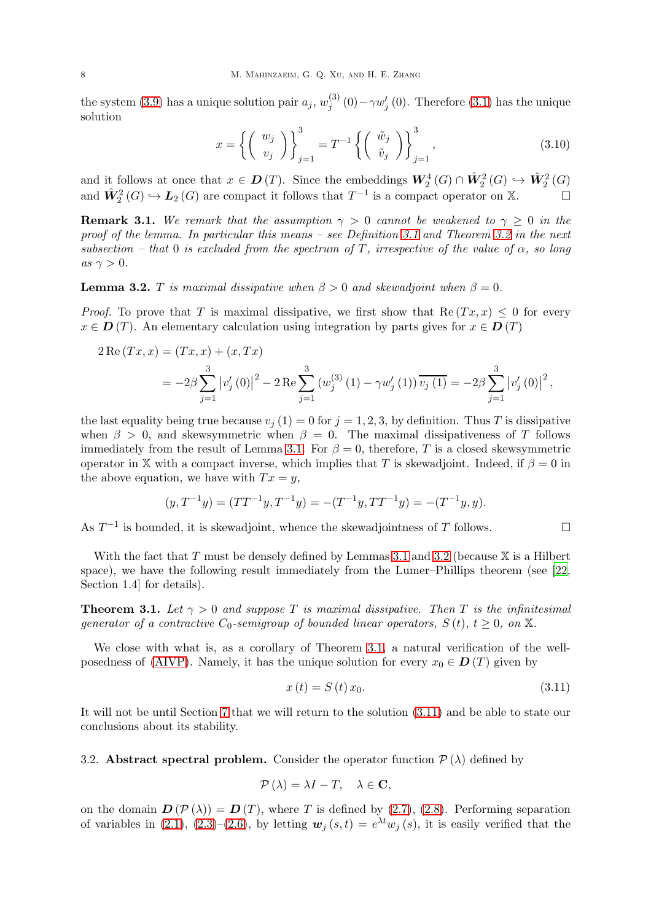the system [\(3.9\)](#page-6-5) has a unique solution pair  $a_j$ ,  $w_j^{(3)}$  $j^{(5)}(0)-\gamma w_j'(0)$ . Therefore [\(3.1\)](#page-5-4) has the unique solution

<span id="page-7-3"></span>
$$
x = \left\{ \begin{pmatrix} w_j \\ v_j \end{pmatrix} \right\}_{j=1}^3 = T^{-1} \left\{ \begin{pmatrix} \tilde{w}_j \\ \tilde{v}_j \end{pmatrix} \right\}_{j=1}^3, \tag{3.10}
$$

and it follows at once that  $x \in D(T)$ . Since the embeddings  $W_2^4(G) \cap \hat{W}_2^2(G) \hookrightarrow \hat{W}_2^2(G)$ and  $\hat{W}_2^2(G) \hookrightarrow L_2(G)$  are compact it follows that  $T^{-1}$  is a compact operator on X.

**Remark 3.1.** We remark that the assumption  $\gamma > 0$  cannot be weakened to  $\gamma \geq 0$  in the proof of the lemma. In particular this means – see Definition [3.1](#page-8-0) and Theorem [3.2](#page-8-1) in the next subsection – that 0 is excluded from the spectrum of T, irrespective of the value of  $\alpha$ , so long as  $\gamma > 0$ .

<span id="page-7-0"></span>**Lemma 3.2.** T is maximal dissipative when  $\beta > 0$  and skewadjoint when  $\beta = 0$ .

*Proof.* To prove that T is maximal dissipative, we first show that  $\text{Re}(Tx, x) \leq 0$  for every  $x \in D(T)$ . An elementary calculation using integration by parts gives for  $x \in D(T)$ 

$$
2 \operatorname{Re} (Tx, x) = (Tx, x) + (x, Tx)
$$
  
=  $-2\beta \sum_{j=1}^{3} |v'_j(0)|^2 - 2 \operatorname{Re} \sum_{j=1}^{3} (w_j^{(3)}(1) - \gamma w'_j(1)) \overline{v_j(1)} = -2\beta \sum_{j=1}^{3} |v'_j(0)|^2$ ,

the last equality being true because  $v_j (1) = 0$  for  $j = 1, 2, 3$ , by definition. Thus T is dissipative when  $\beta > 0$ , and skewsymmetric when  $\beta = 0$ . The maximal dissipativeness of T follows immediately from the result of Lemma [3.1.](#page-5-5) For  $\beta = 0$ , therefore, T is a closed skewsymmetric operator in X with a compact inverse, which implies that T is skewadjoint. Indeed, if  $\beta = 0$  in the above equation, we have with  $Tx = y$ ,

$$
(y, T^{-1}y) = (TT^{-1}y, T^{-1}y) = -(T^{-1}y, TT^{-1}y) = -(T^{-1}y, y).
$$

As  $T^{-1}$  is bounded, it is skewadjoint, whence the skewadjointness of T follows.  $\Box$ 

With the fact that  $T$  must be densely defined by Lemmas [3.1](#page-5-5) and [3.2](#page-7-0) (because  $X$  is a Hilbert space), we have the following result immediately from the Lumer–Phillips theorem (see [\[22](#page-24-8), Section 1.4] for details).

<span id="page-7-1"></span>**Theorem 3.1.** Let  $\gamma > 0$  and suppose T is maximal dissipative. Then T is the infinitesimal generator of a contractive  $C_0$ -semigroup of bounded linear operators,  $S(t)$ ,  $t \geq 0$ , on X.

We close with what is, as a corollary of Theorem [3.1,](#page-7-1) a natural verification of the well-posedness of [\(AIVP\)](#page-4-0). Namely, it has the unique solution for every  $x_0 \in D(T)$  given by

<span id="page-7-2"></span>
$$
x(t) = S(t)x_0.
$$
 (3.11)

It will not be until Section [7](#page-23-7) that we will return to the solution [\(3.11\)](#page-7-2) and be able to state our conclusions about its stability.

3.2. Abstract spectral problem. Consider the operator function  $\mathcal{P}(\lambda)$  defined by

$$
\mathcal{P}\left(\lambda\right) = \lambda I - T, \quad \lambda \in \mathbf{C},
$$

on the domain  $\mathbf{D}(\mathcal{P}(\lambda)) = \mathbf{D}(T)$ , where T is defined by [\(2.7\)](#page-4-1), [\(2.8\)](#page-4-2). Performing separation of variables in [\(2.1\)](#page-2-1), [\(2.3\)](#page-3-3)–[\(2.6\)](#page-3-2), by letting  $w_j(s,t) = e^{\lambda t} w_j(s)$ , it is easily verified that the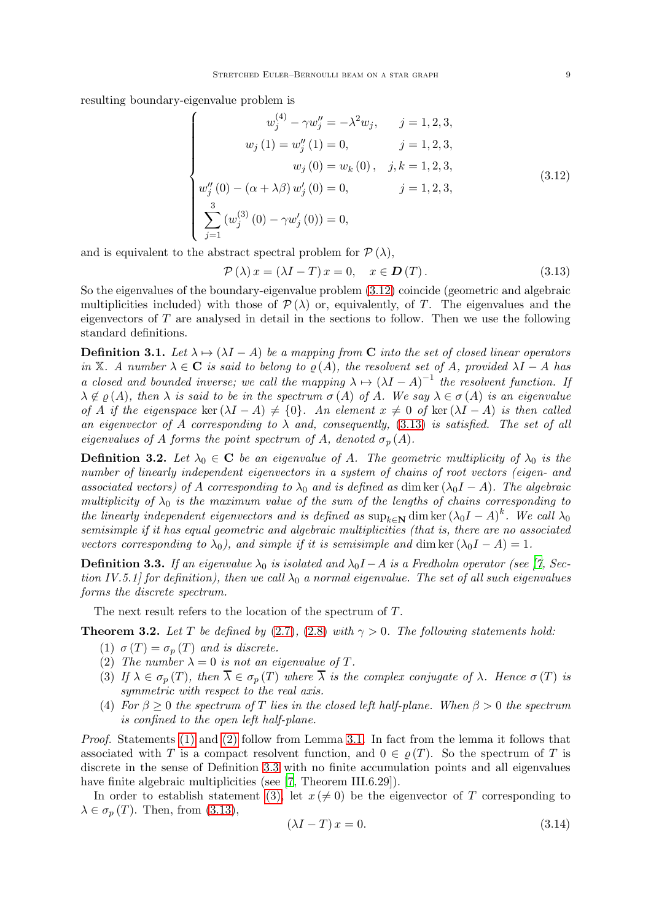resulting boundary-eigenvalue problem is

<span id="page-8-2"></span>
$$
\begin{cases}\nw_j^{(4)} - \gamma w_j'' = -\lambda^2 w_j, & j = 1, 2, 3, \\
w_j(1) = w_j''(1) = 0, & j = 1, 2, 3, \\
w_j(0) = w_k(0), & j, k = 1, 2, 3, \\
w_j''(0) - (\alpha + \lambda \beta) w_j'(0) = 0, & j = 1, 2, 3, \\
\sum_{j=1}^3 (w_j^{(3)}(0) - \gamma w_j'(0)) = 0,\n\end{cases}
$$
\n(3.12)

and is equivalent to the abstract spectral problem for  $\mathcal{P}(\lambda)$ ,

<span id="page-8-3"></span>
$$
\mathcal{P}(\lambda)x = (\lambda I - T)x = 0, \quad x \in \mathbf{D}(T). \tag{3.13}
$$

So the eigenvalues of the boundary-eigenvalue problem [\(3.12\)](#page-8-2) coincide (geometric and algebraic multiplicities included) with those of  $\mathcal{P}(\lambda)$  or, equivalently, of T. The eigenvalues and the eigenvectors of  $T$  are analysed in detail in the sections to follow. Then we use the following standard definitions.

<span id="page-8-0"></span>**Definition 3.1.** Let  $\lambda \mapsto (\lambda I - A)$  be a mapping from C into the set of closed linear operators in X. A number  $\lambda \in \mathbb{C}$  is said to belong to  $\rho(A)$ , the resolvent set of A, provided  $\lambda I - A$  has a closed and bounded inverse; we call the mapping  $\lambda \mapsto (\lambda I - A)^{-1}$  the resolvent function. If  $\lambda \notin \varrho(A)$ , then  $\lambda$  is said to be in the spectrum  $\sigma(A)$  of A. We say  $\lambda \in \sigma(A)$  is an eigenvalue of A if the eigenspace ker  $(\lambda I - A) \neq \{0\}$ . An element  $x \neq 0$  of ker  $(\lambda I - A)$  is then called an eigenvector of A corresponding to  $\lambda$  and, consequently, [\(3.13\)](#page-8-3) is satisfied. The set of all eigenvalues of A forms the point spectrum of A, denoted  $\sigma_p(A)$ .

<span id="page-8-10"></span>**Definition 3.2.** Let  $\lambda_0 \in \mathbb{C}$  be an eigenvalue of A. The geometric multiplicity of  $\lambda_0$  is the number of linearly independent eigenvectors in a system of chains of root vectors (eigen- and associated vectors) of A corresponding to  $\lambda_0$  and is defined as dim ker  $(\lambda_0 I - A)$ . The algebraic multiplicity of  $\lambda_0$  is the maximum value of the sum of the lengths of chains corresponding to the linearly independent eigenvectors and is defined as  $\sup_{k\in\mathbb{N}} \dim \ker (\lambda_0 I - A)^k$ . We call  $\lambda_0$ semisimple if it has equal geometric and algebraic multiplicities (that is, there are no associated vectors corresponding to  $\lambda_0$ ), and simple if it is semisimple and dim ker  $(\lambda_0 I - A) = 1$ .

<span id="page-8-6"></span>**Definition 3.3.** If an eigenvalue  $\lambda_0$  is isolated and  $\lambda_0 I - A$  is a Fredholm operator (see [\[7](#page-23-12), Section IV.5.1] for definition), then we call  $\lambda_0$  a normal eigenvalue. The set of all such eigenvalues forms the discrete spectrum.

The next result refers to the location of the spectrum of T.

<span id="page-8-5"></span><span id="page-8-4"></span><span id="page-8-1"></span>**Theorem 3.2.** Let T be defined by [\(2.7\)](#page-4-1), [\(2.8\)](#page-4-2) with  $\gamma > 0$ . The following statements hold:

- (1)  $\sigma(T) = \sigma_p(T)$  and is discrete.
- <span id="page-8-7"></span>(2) The number  $\lambda = 0$  is not an eigenvalue of T.
- (3) If  $\lambda \in \sigma_n(T)$ , then  $\overline{\lambda} \in \sigma_n(T)$  where  $\overline{\lambda}$  is the complex conjugate of  $\lambda$ . Hence  $\sigma(T)$  is symmetric with respect to the real axis.
- <span id="page-8-8"></span>(4) For  $\beta \geq 0$  the spectrum of T lies in the closed left half-plane. When  $\beta > 0$  the spectrum is confined to the open left half-plane.

Proof. Statements [\(1\)](#page-8-4) and [\(2\)](#page-8-5) follow from Lemma [3.1.](#page-5-5) In fact from the lemma it follows that associated with T is a compact resolvent function, and  $0 \in \rho(T)$ . So the spectrum of T is discrete in the sense of Definition [3.3](#page-8-6) with no finite accumulation points and all eigenvalues have finite algebraic multiplicities (see [\[7](#page-23-12), Theorem III.6.29]).

In order to establish statement [\(3\),](#page-8-7) let  $x \neq 0$ ) be the eigenvector of T corresponding to  $\lambda \in \sigma_p(T)$ . Then, from [\(3.13\)](#page-8-3),

<span id="page-8-9"></span>
$$
(\lambda I - T)x = 0.\t(3.14)
$$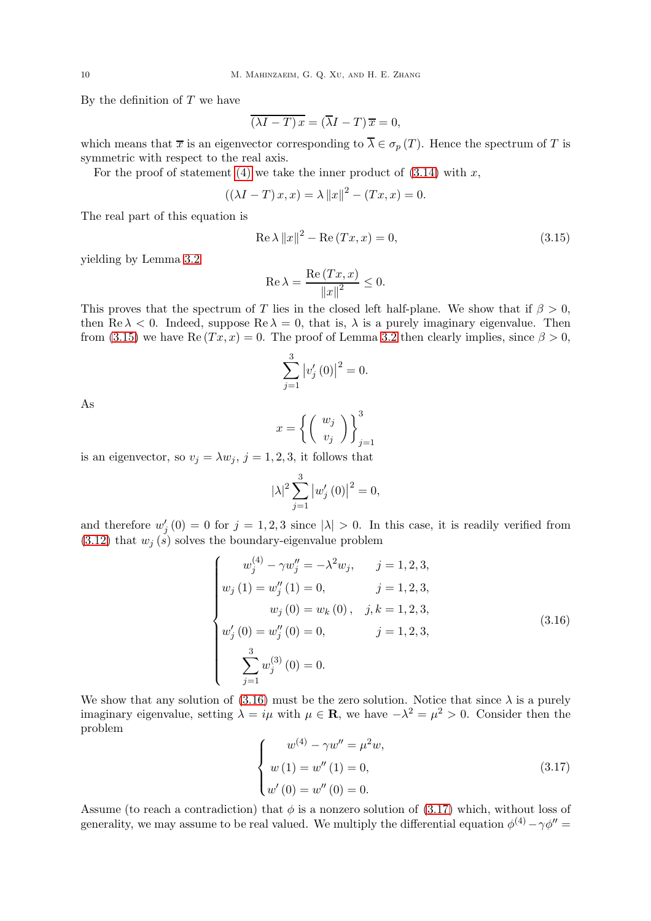By the definition of  $T$  we have

$$
\overline{(\lambda I - T) x} = (\overline{\lambda} I - T) \overline{x} = 0,
$$

which means that  $\bar{x}$  is an eigenvector corresponding to  $\bar{\lambda} \in \sigma_p(T)$ . Hence the spectrum of T is symmetric with respect to the real axis.

For the proof of statement [\(4\)](#page-8-8) we take the inner product of  $(3.14)$  with x,

$$
((\lambda I - T) x, x) = \lambda ||x||^2 - (Tx, x) = 0.
$$

The real part of this equation is

<span id="page-9-0"></span>
$$
\operatorname{Re}\lambda \|x\|^2 - \operatorname{Re}(Tx, x) = 0,\tag{3.15}
$$

yielding by Lemma [3.2](#page-7-0)

$$
\operatorname{Re}\lambda = \frac{\operatorname{Re}\left(Tx, x\right)}{\left\|x\right\|^2} \le 0.
$$

This proves that the spectrum of T lies in the closed left half-plane. We show that if  $\beta > 0$ , then  $\text{Re } \lambda < 0$ . Indeed, suppose  $\text{Re } \lambda = 0$ , that is,  $\lambda$  is a purely imaginary eigenvalue. Then from [\(3.15\)](#page-9-0) we have Re  $(Tx, x) = 0$ . The proof of Lemma [3.2](#page-7-0) then clearly implies, since  $\beta > 0$ ,

$$
\sum_{j=1}^{3} |v'_j(0)|^2 = 0.
$$

As

$$
x = \left\{ \left( \begin{array}{c} w_j \\ v_j \end{array} \right) \right\}_{j=1}^3
$$

is an eigenvector, so  $v_j = \lambda w_j$ ,  $j = 1, 2, 3$ , it follows that

$$
|\lambda|^2 \sum_{j=1}^3 |w'_j(0)|^2 = 0,
$$

and therefore  $w'_{j}(0) = 0$  for  $j = 1, 2, 3$  since  $|\lambda| > 0$ . In this case, it is readily verified from  $(3.12)$  that  $w_i(s)$  solves the boundary-eigenvalue problem

<span id="page-9-1"></span>
$$
\begin{cases}\nw_j^{(4)} - \gamma w_j'' = -\lambda^2 w_j, & j = 1, 2, 3, \\
w_j (1) = w_j'' (1) = 0, & j = 1, 2, 3, \\
w_j (0) = w_k (0), & j, k = 1, 2, 3, \\
w_j' (0) = w_j'' (0) = 0, & j = 1, 2, 3, \\
\sum_{j=1}^3 w_j^{(3)} (0) = 0.\n\end{cases}
$$
\n(3.16)

We show that any solution of [\(3.16\)](#page-9-1) must be the zero solution. Notice that since  $\lambda$  is a purely imaginary eigenvalue, setting  $\lambda = i\mu$  with  $\mu \in \mathbf{R}$ , we have  $-\lambda^2 = \mu^2 > 0$ . Consider then the problem

<span id="page-9-2"></span>
$$
\begin{cases}\nw^{(4)} - \gamma w'' = \mu^2 w, \\
w(1) = w''(1) = 0, \\
w'(0) = w''(0) = 0.\n\end{cases}
$$
\n(3.17)

Assume (to reach a contradiction) that  $\phi$  is a nonzero solution of [\(3.17\)](#page-9-2) which, without loss of generality, we may assume to be real valued. We multiply the differential equation  $\phi^{(4)} - \gamma \phi'' =$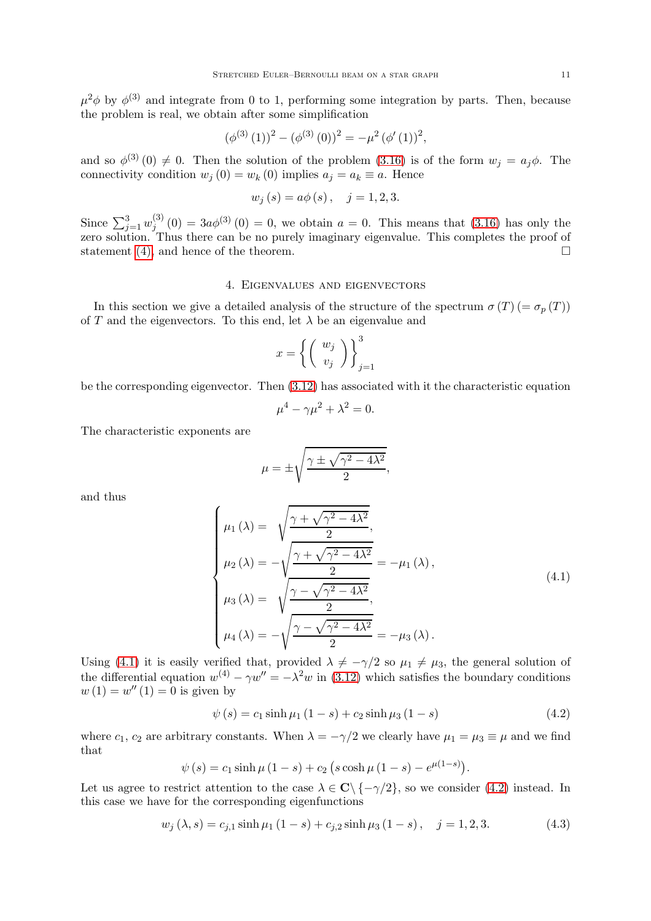$\mu^2 \phi$  by  $\phi^{(3)}$  and integrate from 0 to 1, performing some integration by parts. Then, because the problem is real, we obtain after some simplification

$$
(\phi^{(3)}(1))^{2} - (\phi^{(3)}(0))^{2} = -\mu^{2} (\phi'(1))^{2},
$$

and so  $\phi^{(3)}(0) \neq 0$ . Then the solution of the problem  $(3.16)$  is of the form  $w_j = a_j \phi$ . The connectivity condition  $w_i(0) = w_k(0)$  implies  $a_i = a_k \equiv a$ . Hence

$$
w_j(s) = a\phi(s), \quad j = 1, 2, 3.
$$

Since  $\sum_{j=1}^{3} w_j^{(3)}$  $j_j^{(3)}(0) = 3a\phi^{(3)}(0) = 0$ , we obtain  $a = 0$ . This means that  $(3.16)$  has only the zero solution. Thus there can be no purely imaginary eigenvalue. This completes the proof of statement [\(4\),](#page-8-8) and hence of the theorem.

### 4. Eigenvalues and eigenvectors

<span id="page-10-0"></span>In this section we give a detailed analysis of the structure of the spectrum  $\sigma(T)$  (=  $\sigma_n(T)$ ) of T and the eigenvectors. To this end, let  $\lambda$  be an eigenvalue and

$$
x=\bigg\{\bigg(\begin{array}{c}w_j\\v_j\end{array}\bigg)\bigg\}_{j=1}^3
$$

be the corresponding eigenvector. Then [\(3.12\)](#page-8-2) has associated with it the characteristic equation

$$
\mu^4 - \gamma \mu^2 + \lambda^2 = 0.
$$

The characteristic exponents are

$$
\mu = \pm \sqrt{\frac{\gamma \pm \sqrt{\gamma^2 - 4\lambda^2}}{2}},
$$

and thus

<span id="page-10-1"></span>
$$
\begin{cases}\n\mu_1(\lambda) = \sqrt{\frac{\gamma + \sqrt{\gamma^2 - 4\lambda^2}}{2}},\\ \n\mu_2(\lambda) = -\sqrt{\frac{\gamma + \sqrt{\gamma^2 - 4\lambda^2}}{2}} = -\mu_1(\lambda),\\ \n\mu_3(\lambda) = \sqrt{\frac{\gamma - \sqrt{\gamma^2 - 4\lambda^2}}{2}},\\ \n\mu_4(\lambda) = -\sqrt{\frac{\gamma - \sqrt{\gamma^2 - 4\lambda^2}}{2}} = -\mu_3(\lambda).\n\end{cases} (4.1)
$$

Using [\(4.1\)](#page-10-1) it is easily verified that, provided  $\lambda \neq -\gamma/2$  so  $\mu_1 \neq \mu_3$ , the general solution of the differential equation  $w^{(4)} - \gamma w'' = -\lambda^2 w$  in [\(3.12\)](#page-8-2) which satisfies the boundary conditions  $w(1) = w''(1) = 0$  is given by

<span id="page-10-2"></span>
$$
\psi(s) = c_1 \sinh \mu_1 (1 - s) + c_2 \sinh \mu_3 (1 - s) \tag{4.2}
$$

where  $c_1$ ,  $c_2$  are arbitrary constants. When  $\lambda = -\gamma/2$  we clearly have  $\mu_1 = \mu_3 \equiv \mu$  and we find that

$$
\psi(s) = c_1 \sinh \mu (1 - s) + c_2 (s \cosh \mu (1 - s) - e^{\mu (1 - s)}).
$$

Let us agree to restrict attention to the case  $\lambda \in \mathbb{C} \setminus \{-\gamma/2\}$ , so we consider [\(4.2\)](#page-10-2) instead. In this case we have for the corresponding eigenfunctions

<span id="page-10-3"></span>
$$
w_j(\lambda, s) = c_{j,1} \sinh \mu_1 (1 - s) + c_{j,2} \sinh \mu_3 (1 - s), \quad j = 1, 2, 3. \tag{4.3}
$$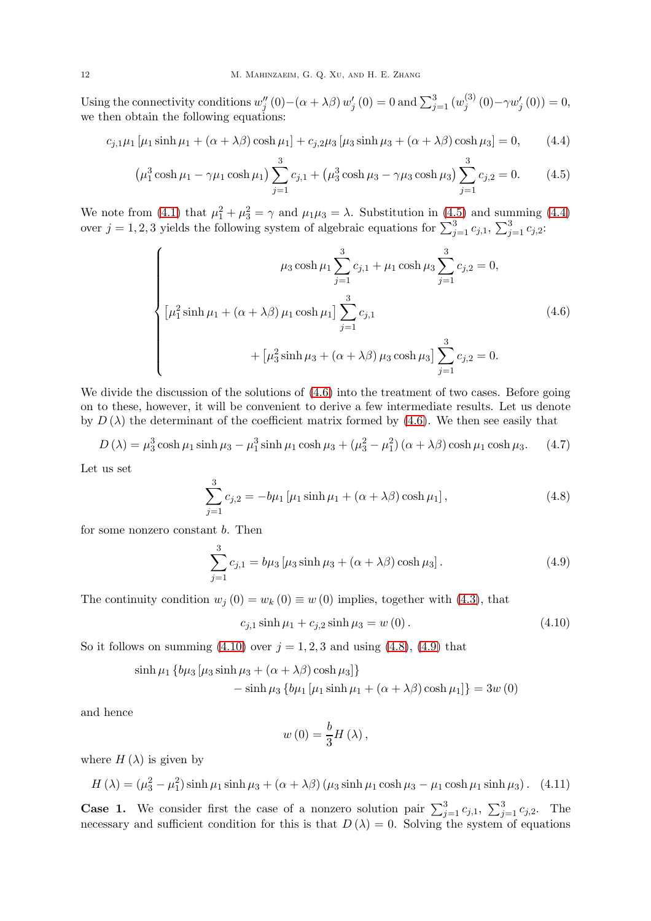Using the connectivity conditions  $w''_j(0) - (\alpha + \lambda \beta) w'_j(0) = 0$  and  $\sum_{j=1}^3 (w_j^{(3)})$  $j^{(0)}(0)-\gamma w'_{j}(0))=0,$ we then obtain the following equations:

$$
c_{j,1}\mu_1 [\mu_1 \sinh \mu_1 + (\alpha + \lambda \beta) \cosh \mu_1] + c_{j,2}\mu_3 [\mu_3 \sinh \mu_3 + (\alpha + \lambda \beta) \cosh \mu_3] = 0, \quad (4.4)
$$

$$
\left(\mu_1^3 \cosh \mu_1 - \gamma \mu_1 \cosh \mu_1\right) \sum_{j=1}^3 c_{j,1} + \left(\mu_3^3 \cosh \mu_3 - \gamma \mu_3 \cosh \mu_3\right) \sum_{j=1}^3 c_{j,2} = 0. \tag{4.5}
$$

We note from [\(4.1\)](#page-10-1) that  $\mu_1^2 + \mu_3^2 = \gamma$  and  $\mu_1 \mu_3 = \lambda$ . Substitution in [\(4.5\)](#page-11-0) and summing [\(4.4\)](#page-11-1) over  $j = 1, 2, 3$  yields the following system of algebraic equations for  $\sum_{j=1}^{3} c_{j,1}$ ,  $\sum_{j=1}^{3} c_{j,2}$ :

<span id="page-11-2"></span><span id="page-11-1"></span><span id="page-11-0"></span>
$$
\mu_3 \cosh \mu_1 \sum_{j=1}^3 c_{j,1} + \mu_1 \cosh \mu_3 \sum_{j=1}^3 c_{j,2} = 0,
$$
  

$$
[\mu_1^2 \sinh \mu_1 + (\alpha + \lambda \beta) \mu_1 \cosh \mu_1] \sum_{j=1}^3 c_{j,1}
$$
  

$$
+ [\mu_3^2 \sinh \mu_3 + (\alpha + \lambda \beta) \mu_3 \cosh \mu_3] \sum_{j=1}^3 c_{j,2} = 0.
$$
 (4.6)

We divide the discussion of the solutions of  $(4.6)$  into the treatment of two cases. Before going on to these, however, it will be convenient to derive a few intermediate results. Let us denote by  $D(\lambda)$  the determinant of the coefficient matrix formed by [\(4.6\)](#page-11-2). We then see easily that

<span id="page-11-6"></span>
$$
D(\lambda) = \mu_3^3 \cosh \mu_1 \sinh \mu_3 - \mu_1^3 \sinh \mu_1 \cosh \mu_3 + (\mu_3^2 - \mu_1^2) (\alpha + \lambda \beta) \cosh \mu_1 \cosh \mu_3. \tag{4.7}
$$

Let us set

<span id="page-11-4"></span>
$$
\sum_{j=1}^{3} c_{j,2} = -b\mu_1 \left[ \mu_1 \sinh \mu_1 + (\alpha + \lambda \beta) \cosh \mu_1 \right],
$$
 (4.8)

for some nonzero constant b. Then

<span id="page-11-5"></span>
$$
\sum_{j=1}^{3} c_{j,1} = b\mu_3 \left[ \mu_3 \sinh \mu_3 + (\alpha + \lambda \beta) \cosh \mu_3 \right].
$$
 (4.9)

The continuity condition  $w_j(0) = w_k(0) \equiv w(0)$  implies, together with [\(4.3\)](#page-10-3), that

<span id="page-11-3"></span>
$$
c_{j,1}\sinh\mu_1 + c_{j,2}\sinh\mu_3 = w(0). \tag{4.10}
$$

So it follows on summing  $(4.10)$  over  $j = 1, 2, 3$  and using  $(4.8)$ ,  $(4.9)$  that

$$
\sinh \mu_1 \left\{ b\mu_3 \left[ \mu_3 \sinh \mu_3 + (\alpha + \lambda \beta) \cosh \mu_3 \right] \right\}
$$
  
- 
$$
\sinh \mu_3 \left\{ b\mu_1 \left[ \mu_1 \sinh \mu_1 + (\alpha + \lambda \beta) \cosh \mu_1 \right] \right\} = 3w(0)
$$

and hence

$$
w\left( 0\right) =\frac{b}{3}H\left( \lambda\right) ,
$$

where  $H(\lambda)$  is given by

<span id="page-11-7"></span>
$$
H(\lambda) = (\mu_3^2 - \mu_1^2) \sinh \mu_1 \sinh \mu_3 + (\alpha + \lambda \beta) (\mu_3 \sinh \mu_1 \cosh \mu_3 - \mu_1 \cosh \mu_1 \sinh \mu_3). \tag{4.11}
$$

**Case 1.** We consider first the case of a nonzero solution pair  $\sum_{j=1}^{3} c_{j,1}$ ,  $\sum_{j=1}^{3} c_{j,2}$ . The necessary and sufficient condition for this is that  $D(\lambda) = 0$ . Solving the system of equations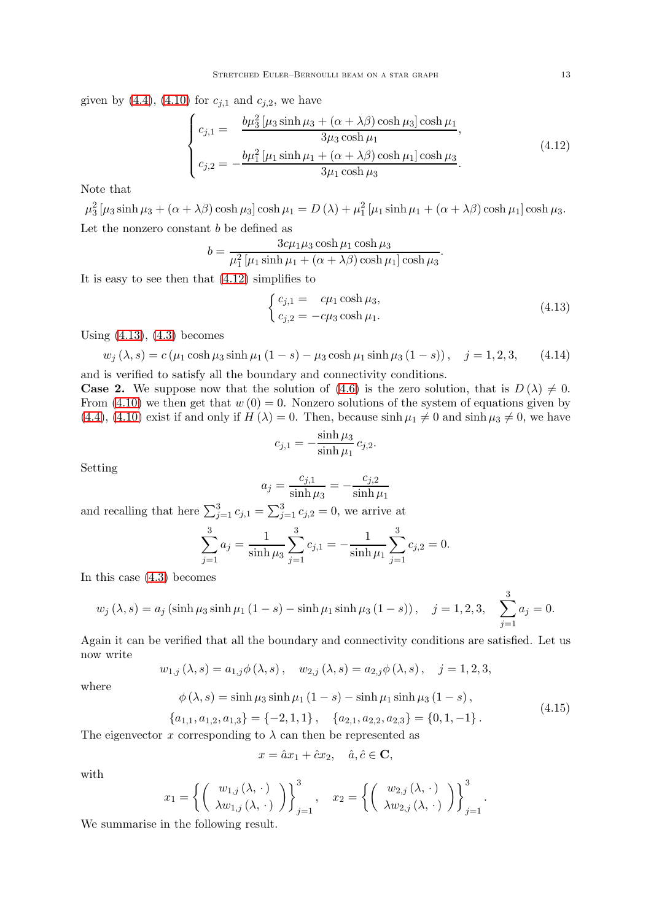given by [\(4.4\)](#page-11-1), [\(4.10\)](#page-11-3) for  $c_{j,1}$  and  $c_{j,2}$ , we have

<span id="page-12-0"></span>
$$
\begin{cases}\nc_{j,1} = \frac{b\mu_3^2 \left[\mu_3 \sinh \mu_3 + (\alpha + \lambda \beta) \cosh \mu_3\right] \cosh \mu_1}{3\mu_3 \cosh \mu_1}, \\
c_{j,2} = -\frac{b\mu_1^2 \left[\mu_1 \sinh \mu_1 + (\alpha + \lambda \beta) \cosh \mu_1\right] \cosh \mu_3}{3\mu_1 \cosh \mu_3}.\n\end{cases} \tag{4.12}
$$

Note that

 $\mu_3^2 \left[ \mu_3 \sinh \mu_3 + (\alpha + \lambda \beta) \cosh \mu_3 \right] \cosh \mu_1 = D(\lambda) + \mu_1^2 \left[ \mu_1 \sinh \mu_1 + (\alpha + \lambda \beta) \cosh \mu_1 \right] \cosh \mu_3.$ Let the nonzero constant  $b$  be defined as

$$
b = \frac{3c\mu_1\mu_3\cosh\mu_1\cosh\mu_3}{\mu_1^2[\mu_1\sinh\mu_1 + (\alpha + \lambda\beta)\cosh\mu_1]\cosh\mu_3}.
$$

It is easy to see then that [\(4.12\)](#page-12-0) simplifies to

<span id="page-12-1"></span>
$$
\begin{cases}\nc_{j,1} = c\mu_1 \cosh \mu_3, \\
c_{j,2} = -c\mu_3 \cosh \mu_1.\n\end{cases}
$$
\n(4.13)

Using [\(4.13\)](#page-12-1), [\(4.3\)](#page-10-3) becomes

<span id="page-12-2"></span>
$$
w_j(\lambda, s) = c(\mu_1 \cosh \mu_3 \sinh \mu_1 (1 - s) - \mu_3 \cosh \mu_1 \sinh \mu_3 (1 - s)), \quad j = 1, 2, 3,
$$
 (4.14)

and is verified to satisfy all the boundary and connectivity conditions. **Case 2.** We suppose now that the solution of [\(4.6\)](#page-11-2) is the zero solution, that is  $D(\lambda) \neq 0$ . From [\(4.10\)](#page-11-3) we then get that  $w(0) = 0$ . Nonzero solutions of the system of equations given by [\(4.4\)](#page-11-1), [\(4.10\)](#page-11-3) exist if and only if  $H(\lambda) = 0$ . Then, because  $\sinh \mu_1 \neq 0$  and  $\sinh \mu_3 \neq 0$ , we have

$$
c_{j,1} = -\frac{\sinh \mu_3}{\sinh \mu_1} c_{j,2}.
$$

Setting

$$
a_j = \frac{c_{j,1}}{\sinh \mu_3} = -\frac{c_{j,2}}{\sinh \mu_1}
$$

and recalling that here  $\sum_{j=1}^{3} c_{j,1} = \sum_{j=1}^{3} c_{j,2} = 0$ , we arrive at

$$
\sum_{j=1}^{3} a_j = \frac{1}{\sinh \mu_3} \sum_{j=1}^{3} c_{j,1} = -\frac{1}{\sinh \mu_1} \sum_{j=1}^{3} c_{j,2} = 0.
$$

In this case [\(4.3\)](#page-10-3) becomes

$$
w_j(\lambda, s) = a_j (\sinh \mu_3 \sinh \mu_1 (1 - s) - \sinh \mu_1 \sinh \mu_3 (1 - s)), \quad j = 1, 2, 3, \sum_{j=1}^3 a_j = 0.
$$

Again it can be verified that all the boundary and connectivity conditions are satisfied. Let us now write

$$
w_{1,j}(\lambda, s) = a_{1,j}\phi(\lambda, s), \quad w_{2,j}(\lambda, s) = a_{2,j}\phi(\lambda, s), \quad j = 1, 2, 3,
$$

where

<span id="page-12-3"></span>
$$
\phi(\lambda, s) = \sinh \mu_3 \sinh \mu_1 (1 - s) - \sinh \mu_1 \sinh \mu_3 (1 - s),
$$
  
\n
$$
\{a_{1,1}, a_{1,2}, a_{1,3}\} = \{-2, 1, 1\}, \quad \{a_{2,1}, a_{2,2}, a_{2,3}\} = \{0, 1, -1\}.
$$
\n(4.15)

The eigenvector x corresponding to  $\lambda$  can then be represented as

$$
x = \hat{a}x_1 + \hat{c}x_2, \quad \hat{a}, \hat{c} \in \mathbf{C},
$$

with

$$
x_1 = \left\{ \begin{pmatrix} w_{1,j}(\lambda, \cdot) \\ \lambda w_{1,j}(\lambda, \cdot) \end{pmatrix} \right\}_{j=1}^3, \quad x_2 = \left\{ \begin{pmatrix} w_{2,j}(\lambda, \cdot) \\ \lambda w_{2,j}(\lambda, \cdot) \end{pmatrix} \right\}_{j=1}^3.
$$

We summarise in the following result.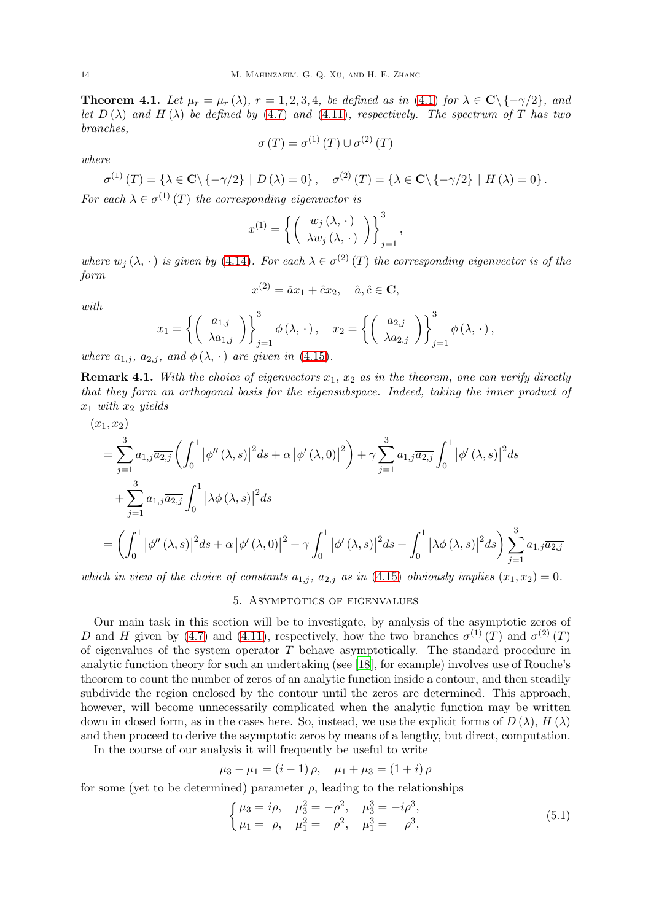<span id="page-13-2"></span>**Theorem 4.1.** Let  $\mu_r = \mu_r(\lambda)$ ,  $r = 1, 2, 3, 4$ , be defined as in [\(4.1\)](#page-10-1) for  $\lambda \in \mathbb{C} \setminus \{-\gamma/2\}$ , and let  $D(\lambda)$  and  $H(\lambda)$  be defined by [\(4.7\)](#page-11-6) and [\(4.11\)](#page-11-7), respectively. The spectrum of T has two branches,

$$
\sigma(T) = \sigma^{(1)}(T) \cup \sigma^{(2)}(T)
$$

where

$$
\sigma^{(1)}(T) = \{ \lambda \in \mathbf{C} \setminus \{ -\gamma/2 \} \mid D(\lambda) = 0 \}, \quad \sigma^{(2)}(T) = \{ \lambda \in \mathbf{C} \setminus \{ -\gamma/2 \} \mid H(\lambda) = 0 \}.
$$

For each  $\lambda \in \sigma^{(1)}(T)$  the corresponding eigenvector is

$$
x^{(1)} = \left\{ \left( \begin{array}{c} w_j(\lambda, \cdot) \\ \lambda w_j(\lambda, \cdot) \end{array} \right) \right\}_{j=1}^3
$$

,

where  $w_j(\lambda, \cdot)$  is given by [\(4.14\)](#page-12-2). For each  $\lambda \in \sigma^{(2)}(T)$  the corresponding eigenvector is of the form

$$
x^{(2)} = \hat{a}x_1 + \hat{c}x_2, \quad \hat{a}, \hat{c} \in \mathbf{C},
$$

with

$$
x_1 = \left\{ \begin{pmatrix} a_{1,j} \\ \lambda a_{1,j} \end{pmatrix} \right\}_{j=1}^3 \phi(\lambda, \cdot), \quad x_2 = \left\{ \begin{pmatrix} a_{2,j} \\ \lambda a_{2,j} \end{pmatrix} \right\}_{j=1}^3 \phi(\lambda, \cdot),
$$

where  $a_{1,j}$ ,  $a_{2,j}$ , and  $\phi(\lambda, \cdot)$  are given in [\(4.15\)](#page-12-3).

**Remark 4.1.** With the choice of eigenvectors  $x_1, x_2$  as in the theorem, one can verify directly that they form an orthogonal basis for the eigensubspace. Indeed, taking the inner product of  $x_1$  with  $x_2$  yields

$$
(x_1, x_2)
$$
  
=  $\sum_{j=1}^{3} a_{1,j} \overline{a_{2,j}} \left( \int_0^1 |\phi''(\lambda, s)|^2 ds + \alpha |\phi'(\lambda, 0)|^2 \right) + \gamma \sum_{j=1}^{3} a_{1,j} \overline{a_{2,j}} \int_0^1 |\phi'(\lambda, s)|^2 ds$   
+  $\sum_{j=1}^{3} a_{1,j} \overline{a_{2,j}} \int_0^1 |\lambda \phi(\lambda, s)|^2 ds$   
=  $\left( \int_0^1 |\phi''(\lambda, s)|^2 ds + \alpha |\phi'(\lambda, 0)|^2 + \gamma \int_0^1 |\phi'(\lambda, s)|^2 ds + \int_0^1 |\lambda \phi(\lambda, s)|^2 ds \right) \sum_{j=1}^{3} a_{1,j} \overline{a_{2,j}}$ 

<span id="page-13-0"></span>which in view of the choice of constants  $a_{1,i}$ ,  $a_{2,i}$  as in [\(4.15\)](#page-12-3) obviously implies  $(x_1, x_2) = 0$ .

# 5. Asymptotics of eigenvalues

Our main task in this section will be to investigate, by analysis of the asymptotic zeros of D and H given by [\(4.7\)](#page-11-6) and [\(4.11\)](#page-11-7), respectively, how the two branches  $\sigma^{(1)}(T)$  and  $\sigma^{(2)}(T)$ of eigenvalues of the system operator  $T$  behave asymptotically. The standard procedure in analytic function theory for such an undertaking (see [\[18](#page-24-2)], for example) involves use of Rouche's theorem to count the number of zeros of an analytic function inside a contour, and then steadily subdivide the region enclosed by the contour until the zeros are determined. This approach, however, will become unnecessarily complicated when the analytic function may be written down in closed form, as in the cases here. So, instead, we use the explicit forms of  $D(\lambda)$ ,  $H(\lambda)$ and then proceed to derive the asymptotic zeros by means of a lengthy, but direct, computation.

In the course of our analysis it will frequently be useful to write

$$
\mu_3 - \mu_1 = (i - 1)\rho, \quad \mu_1 + \mu_3 = (1 + i)\rho
$$

for some (yet to be determined) parameter  $\rho$ , leading to the relationships

<span id="page-13-1"></span>
$$
\begin{cases}\n\mu_3 = i\rho, & \mu_3^2 = -\rho^2, & \mu_3^3 = -i\rho^3, \\
\mu_1 = \rho, & \mu_1^2 = \rho^2, & \mu_1^3 = \rho^3,\n\end{cases}
$$
\n(5.1)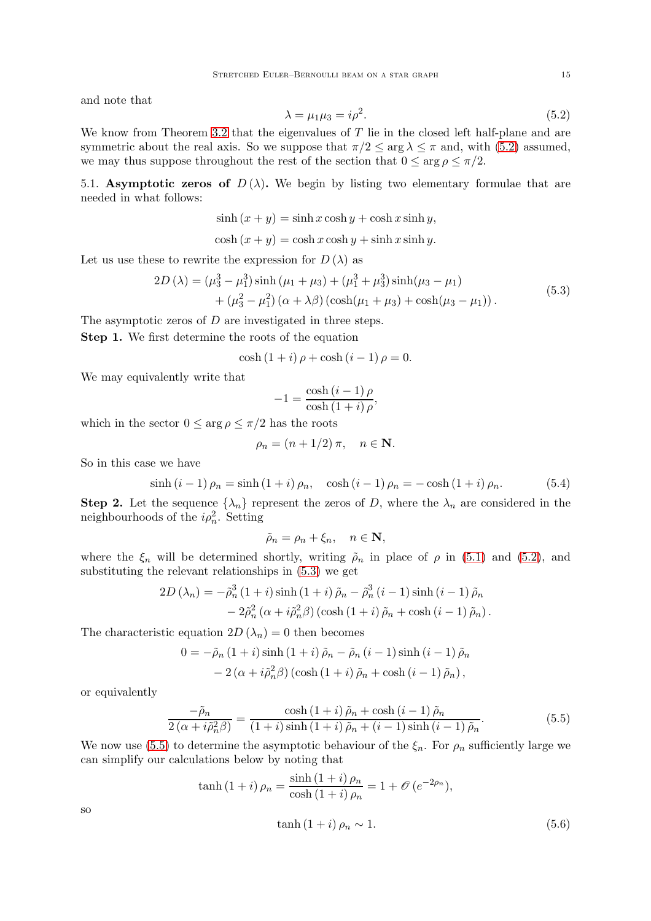and note that

<span id="page-14-0"></span>
$$
\lambda = \mu_1 \mu_3 = i \rho^2. \tag{5.2}
$$

We know from Theorem [3.2](#page-8-1) that the eigenvalues of  $T$  lie in the closed left half-plane and are symmetric about the real axis. So we suppose that  $\pi/2 \le \arg \lambda \le \pi$  and, with [\(5.2\)](#page-14-0) assumed, we may thus suppose throughout the rest of the section that  $0 \le \arg \rho \le \pi/2$ .

5.1. Asymptotic zeros of  $D(\lambda)$ . We begin by listing two elementary formulae that are needed in what follows:

$$
sinh (x + y) = sinh x cosh y + cosh x sinh y,
$$
  

$$
cosh (x + y) = cosh x cosh y + sinh x sinh y.
$$

Let us use these to rewrite the expression for  $D(\lambda)$  as

$$
2D(\lambda) = (\mu_3^3 - \mu_1^3) \sinh (\mu_1 + \mu_3) + (\mu_1^3 + \mu_3^3) \sinh (\mu_3 - \mu_1) + (\mu_3^2 - \mu_1^2) (\alpha + \lambda \beta) (\cosh (\mu_1 + \mu_3) + \cosh (\mu_3 - \mu_1)).
$$
 (5.3)

<span id="page-14-1"></span>The asymptotic zeros of D are investigated in three steps.

Step 1. We first determine the roots of the equation

$$
\cosh(1 + i)\rho + \cosh(i - 1)\rho = 0.
$$

We may equivalently write that

$$
-1 = \frac{\cosh(i-1)\,\rho}{\cosh(1+i)\,\rho},
$$

which in the sector  $0 \le \arg \rho \le \pi/2$  has the roots

$$
\rho_n = (n + 1/2) \pi, \quad n \in \mathbf{N}.
$$

So in this case we have

<span id="page-14-3"></span>
$$
\sinh (i-1) \rho_n = \sinh (1+i) \rho_n, \quad \cosh (i-1) \rho_n = -\cosh (1+i) \rho_n. \tag{5.4}
$$

<span id="page-14-5"></span>**Step 2.** Let the sequence  $\{\lambda_n\}$  represent the zeros of D, where the  $\lambda_n$  are considered in the neighbourhoods of the  $i\rho_n^2$ . Setting

$$
\tilde{\rho}_n = \rho_n + \xi_n, \quad n \in \mathbf{N},
$$

where the  $\xi_n$  will be determined shortly, writing  $\tilde{\rho}_n$  in place of  $\rho$  in [\(5.1\)](#page-13-1) and [\(5.2\)](#page-14-0), and substituting the relevant relationships in [\(5.3\)](#page-14-1) we get

$$
2D(\lambda_n) = -\tilde{\rho}_n^3 (1+i) \sinh(1+i) \tilde{\rho}_n - \tilde{\rho}_n^3 (i-1) \sinh(i-1) \tilde{\rho}_n - 2\tilde{\rho}_n^2 (\alpha + i\tilde{\rho}_n^2 \beta) (\cosh(1+i) \tilde{\rho}_n + \cosh(i-1) \tilde{\rho}_n).
$$

The characteristic equation  $2D(\lambda_n) = 0$  then becomes

$$
0 = -\tilde{\rho}_n (1+i) \sinh (1+i) \tilde{\rho}_n - \tilde{\rho}_n (i-1) \sinh (i-1) \tilde{\rho}_n
$$
  
- 2 (\alpha + i\tilde{\rho}\_n^2 \beta) (cosh (1+i) \tilde{\rho}\_n + cosh (i-1) \tilde{\rho}\_n),

or equivalently

<span id="page-14-2"></span>
$$
\frac{-\tilde{\rho}_n}{2\left(\alpha+i\tilde{\rho}_n^2\beta\right)} = \frac{\cosh\left(1+i\right)\tilde{\rho}_n + \cosh\left(i-1\right)\tilde{\rho}_n}{\left(1+i\right)\sinh\left(1+i\right)\tilde{\rho}_n + \left(i-1\right)\sinh\left(i-1\right)\tilde{\rho}_n}.\tag{5.5}
$$

We now use [\(5.5\)](#page-14-2) to determine the asymptotic behaviour of the  $\xi_n$ . For  $\rho_n$  sufficiently large we can simplify our calculations below by noting that

<span id="page-14-4"></span>
$$
\tanh (1 + i) \rho_n = \frac{\sinh (1 + i) \rho_n}{\cosh (1 + i) \rho_n} = 1 + \mathcal{O} (e^{-2\rho_n}),
$$
  

$$
\tanh (1 + i) \rho_n \sim 1.
$$
 (5.6)

so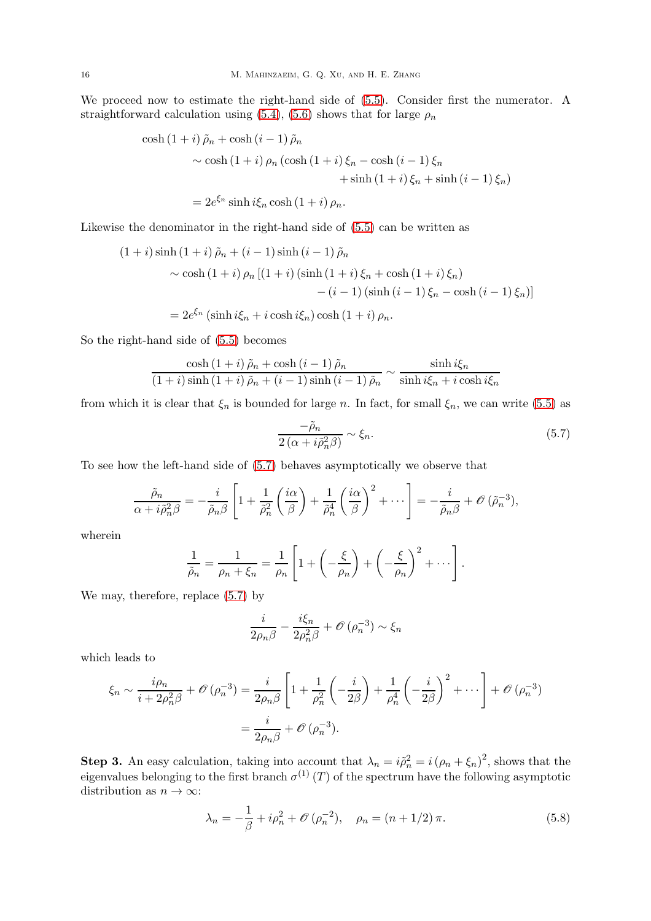We proceed now to estimate the right-hand side of [\(5.5\)](#page-14-2). Consider first the numerator. A straightforward calculation using [\(5.4\)](#page-14-3), [\(5.6\)](#page-14-4) shows that for large  $\rho_n$ 

$$
\cosh(1+i)\tilde{\rho}_n + \cosh(i-1)\tilde{\rho}_n
$$
  
~  $\sim \cosh(1+i)\rho_n(\cosh(1+i)\xi_n - \cosh(i-1)\xi_n$   
+  $\sinh(1+i)\xi_n + \sinh(i-1)\xi_n$ )  
=  $2e^{\xi_n}\sinh i\xi_n \cosh(1+i)\rho_n$ .

Likewise the denominator in the right-hand side of [\(5.5\)](#page-14-2) can be written as

$$
(1+i)\sinh(1+i)\tilde{\rho}_n + (i-1)\sinh(i-1)\tilde{\rho}_n
$$
  
~  $\sim \cosh(1+i)\rho_n [(1+i)(\sinh(1+i)\xi_n + \cosh(1+i)\xi_n)$   
~  $-(i-1)(\sinh(i-1)\xi_n - \cosh(i-1)\xi_n)]$   
=  $2e^{\xi_n} (\sinh i\xi_n + i\cosh i\xi_n) \cosh(1+i)\rho_n.$ 

So the right-hand side of [\(5.5\)](#page-14-2) becomes

$$
\frac{\cosh\left(1+i\right)\tilde{\rho}_n+\cosh\left(i-1\right)\tilde{\rho}_n}{\left(1+i\right)\sinh\left(1+i\right)\tilde{\rho}_n+\left(i-1\right)\sinh\left(i-1\right)\tilde{\rho}_n} \sim \frac{\sinh i\xi_n}{\sinh i\xi_n+i\cosh i\xi_n}
$$

from which it is clear that  $\xi_n$  is bounded for large n. In fact, for small  $\xi_n$ , we can write [\(5.5\)](#page-14-2) as

<span id="page-15-0"></span>
$$
\frac{-\tilde{\rho}_n}{2\left(\alpha+i\tilde{\rho}_n^2\beta\right)} \sim \xi_n. \tag{5.7}
$$

To see how the left-hand side of [\(5.7\)](#page-15-0) behaves asymptotically we observe that

$$
\frac{\tilde{\rho}_n}{\alpha + i \tilde{\rho}_n^2 \beta} = -\frac{i}{\tilde{\rho}_n \beta} \left[ 1 + \frac{1}{\tilde{\rho}_n^2} \left( \frac{i\alpha}{\beta} \right) + \frac{1}{\tilde{\rho}_n^4} \left( \frac{i\alpha}{\beta} \right)^2 + \cdots \right] = -\frac{i}{\tilde{\rho}_n \beta} + \mathcal{O}\left(\tilde{\rho}_n^{-3}\right),
$$

wherein

$$
\frac{1}{\tilde{\rho}_n} = \frac{1}{\rho_n + \xi_n} = \frac{1}{\rho_n} \left[ 1 + \left( -\frac{\xi}{\rho_n} \right) + \left( -\frac{\xi}{\rho_n} \right)^2 + \cdots \right].
$$

We may, therefore, replace [\(5.7\)](#page-15-0) by

$$
\frac{i}{2\rho_n\beta} - \frac{i\xi_n}{2\rho_n^2\beta} + \mathcal{O}\left(\rho_n^{-3}\right) \sim \xi_n
$$

which leads to

$$
\xi_n \sim \frac{i\rho_n}{i + 2\rho_n^2 \beta} + \mathcal{O}\left(\rho_n^{-3}\right) = \frac{i}{2\rho_n \beta} \left[1 + \frac{1}{\rho_n^2} \left(-\frac{i}{2\beta}\right) + \frac{1}{\rho_n^4} \left(-\frac{i}{2\beta}\right)^2 + \cdots\right] + \mathcal{O}\left(\rho_n^{-3}\right)
$$

$$
= \frac{i}{2\rho_n \beta} + \mathcal{O}\left(\rho_n^{-3}\right).
$$

<span id="page-15-1"></span>**Step 3.** An easy calculation, taking into account that  $\lambda_n = i\tilde{\rho}_n^2 = i(\rho_n + \xi_n)^2$ , shows that the eigenvalues belonging to the first branch  $\sigma^{(1)}(T)$  of the spectrum have the following asymptotic distribution as  $n \to \infty$ :

<span id="page-15-2"></span>
$$
\lambda_n = -\frac{1}{\beta} + i\rho_n^2 + \mathcal{O}(\rho_n^{-2}), \quad \rho_n = (n+1/2)\,\pi. \tag{5.8}
$$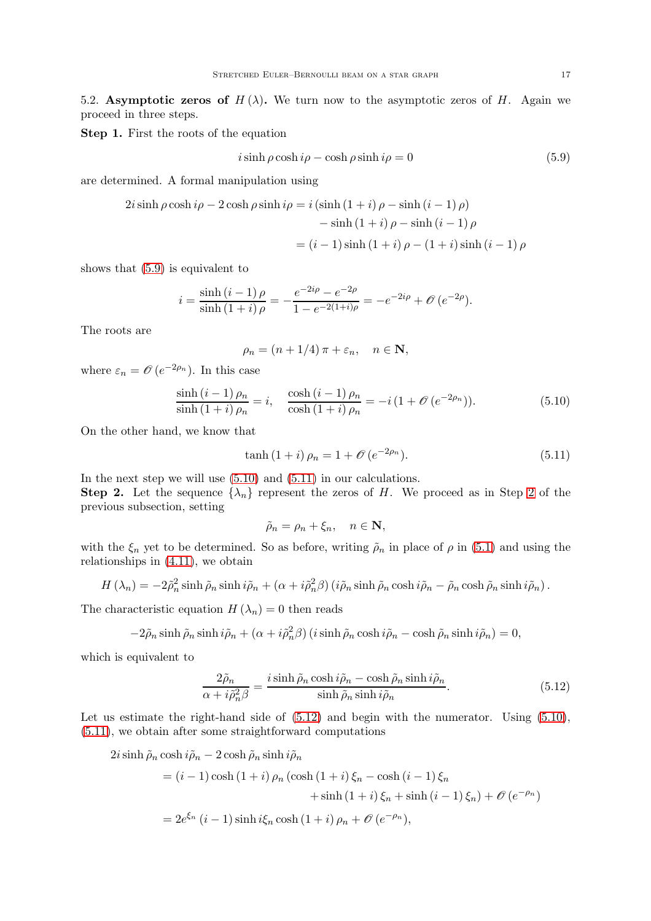5.2. Asymptotic zeros of  $H(\lambda)$ . We turn now to the asymptotic zeros of H. Again we proceed in three steps.

Step 1. First the roots of the equation

<span id="page-16-0"></span>
$$
i\sinh\rho\cosh i\rho - \cosh\rho\sinh i\rho = 0\tag{5.9}
$$

are determined. A formal manipulation using

$$
2i\sinh\rho\cosh i\rho - 2\cosh\rho\sinh i\rho = i\left(\sinh\left(1+i\right)\rho - \sinh\left(i-1\right)\rho\right) - \sinh\left(1+i\right)\rho - \sinh\left(i-1\right)\rho = (i-1)\sinh\left(1+i\right)\rho - \left(1+i\right)\sinh\left(i-1\right)\rho
$$

shows that [\(5.9\)](#page-16-0) is equivalent to

$$
i = \frac{\sinh (i - 1)\rho}{\sinh (1 + i)\rho} = -\frac{e^{-2i\rho} - e^{-2\rho}}{1 - e^{-2i\rho} - e^{-2i\rho}} = -e^{-2i\rho} + \mathcal{O}(e^{-2\rho}).
$$

The roots are

$$
\rho_n = (n + 1/4) \pi + \varepsilon_n, \quad n \in \mathbf{N},
$$

where  $\varepsilon_n = \mathcal{O}(e^{-2\rho_n})$ . In this case

<span id="page-16-1"></span>
$$
\frac{\sinh(i-1)\,\rho_n}{\sinh(1+i)\,\rho_n} = i, \quad \frac{\cosh(i-1)\,\rho_n}{\cosh(1+i)\,\rho_n} = -i\,(1+\mathcal{O}\,(e^{-2\rho_n})).\tag{5.10}
$$

On the other hand, we know that

<span id="page-16-2"></span>
$$
\tanh(1+i)\,\rho_n = 1 + \mathcal{O}\left(e^{-2\rho_n}\right). \tag{5.11}
$$

In the next step we will use  $(5.10)$  and  $(5.11)$  in our calculations.

**Step [2](#page-14-5).** Let the sequence  $\{\lambda_n\}$  represent the zeros of H. We proceed as in Step 2 of the previous subsection, setting

$$
\tilde{\rho}_n = \rho_n + \xi_n, \quad n \in \mathbf{N},
$$

with the  $\xi_n$  yet to be determined. So as before, writing  $\tilde{\rho}_n$  in place of  $\rho$  in [\(5.1\)](#page-13-1) and using the relationships in [\(4.11\)](#page-11-7), we obtain

$$
H(\lambda_n) = -2\tilde{\rho}_n^2 \sinh \tilde{\rho}_n \sinh i\tilde{\rho}_n + (\alpha + i\tilde{\rho}_n^2 \beta) (i\tilde{\rho}_n \sinh \tilde{\rho}_n \cosh i\tilde{\rho}_n - \tilde{\rho}_n \cosh \tilde{\rho}_n \sinh i\tilde{\rho}_n).
$$

The characteristic equation  $H(\lambda_n) = 0$  then reads

$$
-2\tilde{\rho}_n\sinh\tilde{\rho}_n\sinh i\tilde{\rho}_n + (\alpha + i\tilde{\rho}_n^2\beta)(i\sinh\tilde{\rho}_n\cosh i\tilde{\rho}_n - \cosh\tilde{\rho}_n\sinh i\tilde{\rho}_n) = 0,
$$

which is equivalent to

<span id="page-16-3"></span>
$$
\frac{2\tilde{\rho}_n}{\alpha + i\tilde{\rho}_n^2 \beta} = \frac{i \sinh \tilde{\rho}_n \cosh i\tilde{\rho}_n - \cosh \tilde{\rho}_n \sinh i\tilde{\rho}_n}{\sinh \tilde{\rho}_n \sinh i\tilde{\rho}_n}.
$$
(5.12)

Let us estimate the right-hand side of  $(5.12)$  and begin with the numerator. Using  $(5.10)$ , [\(5.11\)](#page-16-2), we obtain after some straightforward computations

$$
2i\sinh \tilde{\rho}_n \cosh i\tilde{\rho}_n - 2\cosh \tilde{\rho}_n \sinh i\tilde{\rho}_n
$$
  
=  $(i - 1)\cosh (1 + i)\rho_n (\cosh (1 + i)\xi_n - \cosh (i - 1)\xi_n$   
+  $\sinh (1 + i)\xi_n + \sinh (i - 1)\xi_n) + \mathcal{O}(e^{-\rho_n})$   
=  $2e^{\xi_n} (i - 1)\sinh i\xi_n \cosh (1 + i)\rho_n + \mathcal{O}(e^{-\rho_n}),$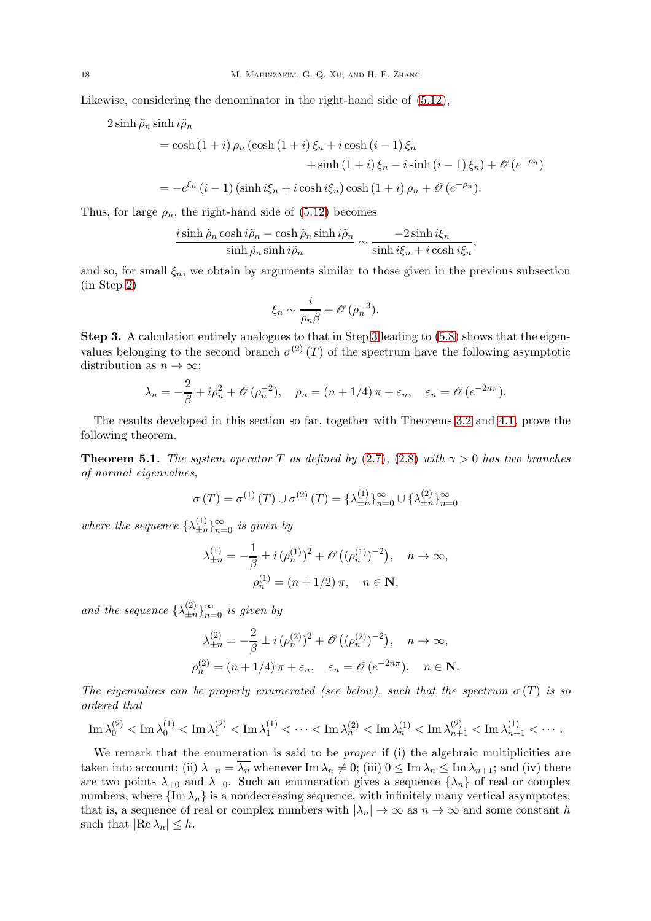Likewise, considering the denominator in the right-hand side of [\(5.12\)](#page-16-3),

$$
2\sinh \tilde{\rho}_n \sinh i \tilde{\rho}_n
$$

$$
= \cosh(1+i)\rho_n(\cosh(1+i)\xi_n + i\cosh(i-1)\xi_n
$$
  
+ sinh (1+i)\xi\_n - i sinh (i-1)\xi\_n) +  $\mathcal{O}(e^{-\rho_n})$   
=  $-e^{\xi_n}(i-1)(\sinh i\xi_n + i\cosh i\xi_n)\cosh(1+i)\rho_n + \mathcal{O}(e^{-\rho_n}).$ 

,

Thus, for large  $\rho_n$ , the right-hand side of [\(5.12\)](#page-16-3) becomes

$$
\frac{i\sinh\tilde{\rho}_n\cosh i\tilde{\rho}_n - \cosh\tilde{\rho}_n\sinh i\tilde{\rho}_n}{\sinh\tilde{\rho}_n\sinh i\tilde{\rho}_n} \sim \frac{-2\sinh i\xi_n}{\sinh i\xi_n + i\cosh i\xi_n}
$$

and so, for small  $\xi_n$ , we obtain by arguments similar to those given in the previous subsection (in Step [2\)](#page-14-5)

$$
\xi_n \sim \frac{i}{\rho_n \beta} + \mathcal{O}\left(\rho_n^{-3}\right).
$$

Step 3. A calculation entirely analogues to that in Step [3](#page-15-1) leading to [\(5.8\)](#page-15-2) shows that the eigenvalues belonging to the second branch  $\sigma^{(2)}(T)$  of the spectrum have the following asymptotic distribution as  $n \to \infty$ :

$$
\lambda_n = -\frac{2}{\beta} + i\rho_n^2 + \mathcal{O}(\rho_n^{-2}), \quad \rho_n = (n+1/4)\,\pi + \varepsilon_n, \quad \varepsilon_n = \mathcal{O}(e^{-2n\pi}).
$$

The results developed in this section so far, together with Theorems [3.2](#page-8-1) and [4.1,](#page-13-2) prove the following theorem.

<span id="page-17-0"></span>**Theorem 5.1.** The system operator T as defined by [\(2.7\)](#page-4-1), [\(2.8\)](#page-4-2) with  $\gamma > 0$  has two branches of normal eigenvalues,

$$
\sigma(T) = \sigma^{(1)}(T) \cup \sigma^{(2)}(T) = {\lambda_{\pm n}^{(1)}}_{n=0}^{\infty} \cup {\lambda_{\pm n}^{(2)}}_{n=0}^{\infty}
$$

where the sequence  $\{\lambda_{\pm n}^{(1)}\}$  $\binom{11}{\pm n}_{n=0}^{\infty}$  is given by

$$
\lambda_{\pm n}^{(1)} = -\frac{1}{\beta} \pm i \, (\rho_n^{(1)})^2 + \mathcal{O}\left((\rho_n^{(1)})^{-2}\right), \quad n \to \infty,
$$

$$
\rho_n^{(1)} = (n+1/2) \, \pi, \quad n \in \mathbb{N},
$$

and the sequence  $\{\lambda_{\pm n}^{(2)}\}$  $\binom{2}{\pm n}_{n=0}^{\infty}$  is given by

$$
\lambda_{\pm n}^{(2)} = -\frac{2}{\beta} \pm i \, (\rho_n^{(2)})^2 + \mathcal{O}\left((\rho_n^{(2)})^{-2}\right), \quad n \to \infty,
$$
  

$$
\rho_n^{(2)} = (n + 1/4) \, \pi + \varepsilon_n, \quad \varepsilon_n = \mathcal{O}\left(e^{-2n\pi}\right), \quad n \in \mathbb{N}.
$$

The eigenvalues can be properly enumerated (see below), such that the spectrum  $\sigma(T)$  is so ordered that

$$
\mathop{\rm Im}\nolimits\lambda^{(2)}_0<\mathop{\rm Im}\nolimits\lambda^{(1)}_0<\mathop{\rm Im}\nolimits\lambda^{(2)}_1<\mathop{\rm Im}\nolimits\lambda^{(1)}_1<\cdots<\mathop{\rm Im}\nolimits\lambda^{(2)}_n<\mathop{\rm Im}\nolimits\lambda^{(1)}_n<\mathop{\rm Im}\nolimits\lambda^{(2)}_{n+1}<\mathop{\rm Im}\nolimits\lambda^{(1)}_{n+1}<\cdots.
$$

We remark that the enumeration is said to be *proper* if (i) the algebraic multiplicities are taken into account; (ii)  $\lambda_{-n} = \overline{\lambda_n}$  whenever Im  $\lambda_n \neq 0$ ; (iii)  $0 \leq \text{Im } \lambda_n \leq \text{Im } \lambda_{n+1}$ ; and (iv) there are two points  $\lambda_{+0}$  and  $\lambda_{-0}$ . Such an enumeration gives a sequence  $\{\lambda_n\}$  of real or complex numbers, where  $\{\text{Im }\lambda_n\}$  is a nondecreasing sequence, with infinitely many vertical asymptotes; that is, a sequence of real or complex numbers with  $|\lambda_n| \to \infty$  as  $n \to \infty$  and some constant h such that  $|\text{Re }\lambda_n| \leq h$ .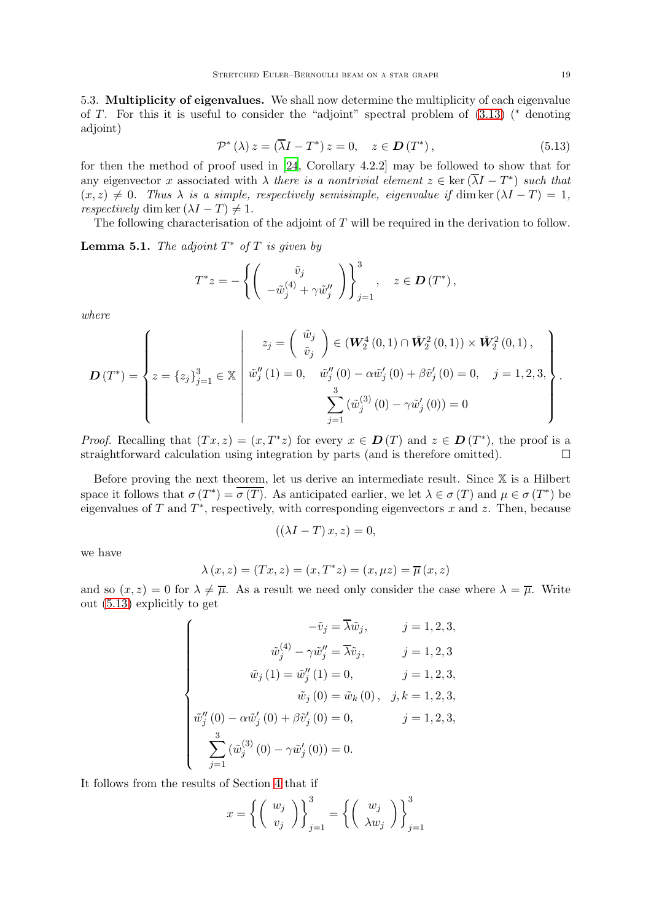5.3. Multiplicity of eigenvalues. We shall now determine the multiplicity of each eigenvalue of T. For this it is useful to consider the "adjoint" spectral problem of  $(3.13)$  (\* denoting adjoint)

<span id="page-18-0"></span>
$$
\mathcal{P}^*(\lambda) z = (\overline{\lambda}I - T^*) z = 0, \quad z \in \mathcal{D}(T^*), \tag{5.13}
$$

for then the method of proof used in [\[24](#page-24-13), Corollary 4.2.2] may be followed to show that for any eigenvector x associated with  $\lambda$  there is a nontrivial element  $z \in \text{ker}(\lambda I - T^*)$  such that  $(x, z) \neq 0$ . Thus  $\lambda$  is a simple, respectively semisimple, eigenvalue if dim ker  $(\lambda I - T) = 1$ , respectively dim ker  $(\lambda I - T) \neq 1$ .

The following characterisation of the adjoint of T will be required in the derivation to follow.

**Lemma 5.1.** The adjoint  $T^*$  of  $T$  is given by

$$
T^*z = -\left\{ \left( \begin{array}{c} \tilde{v}_j \\ -\tilde{w}_j^{(4)} + \gamma \tilde{w}_j'' \end{array} \right) \right\}_{j=1}^3, \quad z \in \mathcal{D}(T^*),
$$

where

$$
\boldsymbol{D}(T^*) = \left\{ z = \{z_j\}_{j=1}^3 \in \mathbb{X} \; \left| \; \begin{array}{c} z_j = \left( \begin{array}{c} \tilde{w}_j \\ \tilde{v}_j \end{array} \right) \in (\boldsymbol{W}_2^4(0,1) \cap \hat{\boldsymbol{W}}_2^2(0,1)) \times \hat{\boldsymbol{W}}_2^2(0,1) \,, \\ \tilde{w}_j''(1) = 0, \quad \tilde{w}_j''(0) - \alpha \tilde{w}_j'(0) + \beta \tilde{v}_j'(0) = 0, \quad j = 1,2,3, \\ \sum_{j=1}^3 (\tilde{w}_j^{(3)}(0) - \gamma \tilde{w}_j'(0)) = 0 \end{array} \right. \right\}.
$$

*Proof.* Recalling that  $(Tx, z) = (x, T^*z)$  for every  $x \in D(T)$  and  $z \in D(T^*)$ , the proof is a straightforward calculation using integration by parts (and is therefore omitted).  $\Box$ 

Before proving the next theorem, let us derive an intermediate result. Since  $X$  is a Hilbert space it follows that  $\sigma(T^*) = \sigma(T)$ . As anticipated earlier, we let  $\lambda \in \sigma(T)$  and  $\mu \in \sigma(T^*)$  be eigenvalues of T and  $T^*$ , respectively, with corresponding eigenvectors x and z. Then, because

$$
((\lambda I - T)x, z) = 0,
$$

we have

$$
\lambda(x, z) = (Tx, z) = (x, T^*z) = (x, \mu z) = \overline{\mu}(x, z)
$$

and so  $(x, z) = 0$  for  $\lambda \neq \overline{\mu}$ . As a result we need only consider the case where  $\lambda = \overline{\mu}$ . Write out [\(5.13\)](#page-18-0) explicitly to get

$$
\begin{cases}\n-\tilde{v}_j = \overline{\lambda}\tilde{w}_j, & j = 1, 2, 3, \\
\tilde{w}_j^{(4)} - \gamma \tilde{w}_j'' = \overline{\lambda}\tilde{v}_j, & j = 1, 2, 3, \\
\tilde{w}_j(1) = \tilde{w}_j''(1) = 0, & j = 1, 2, 3, \\
\tilde{w}_j(0) = \tilde{w}_k(0), & j, k = 1, 2, 3, \\
\tilde{w}_j''(0) - \alpha \tilde{w}_j'(0) + \beta \tilde{v}_j'(0) = 0, & j = 1, 2, 3, \\
\sum_{j=1}^3 (\tilde{w}_j^{(3)}(0) - \gamma \tilde{w}_j'(0)) = 0.\n\end{cases}
$$

It follows from the results of Section [4](#page-10-0) that if

$$
x = \left\{ \left( \begin{array}{c} w_j \\ v_j \end{array} \right) \right\}_{j=1}^3 = \left\{ \left( \begin{array}{c} w_j \\ \lambda w_j \end{array} \right) \right\}_{j=1}^3
$$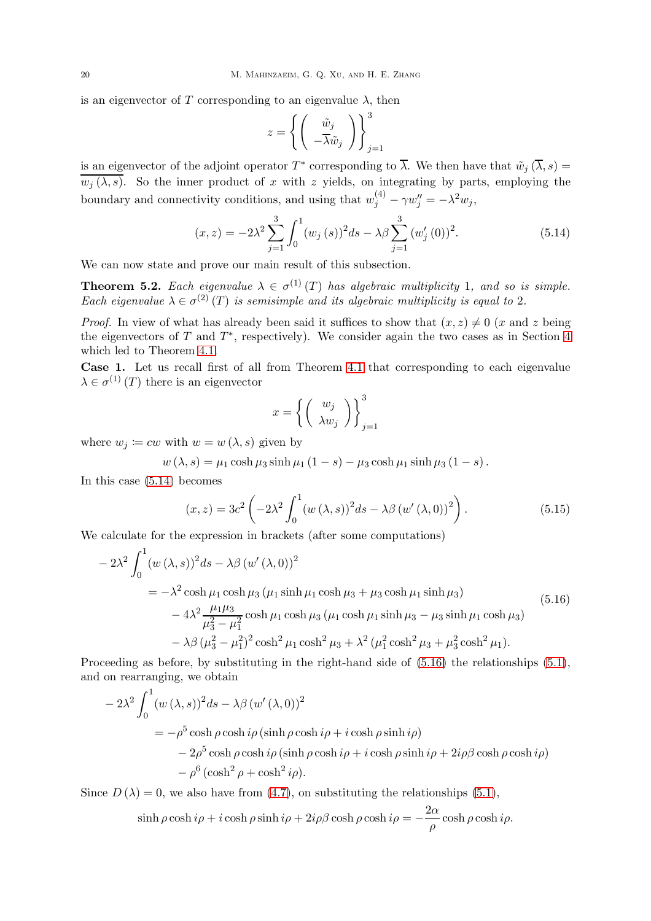is an eigenvector of T corresponding to an eigenvalue  $\lambda$ , then

$$
z = \left\{ \left( \begin{array}{c} \tilde{w}_j \\ -\overline{\lambda} \tilde{w}_j \end{array} \right) \right\}_{j=1}^3
$$

is an eigenvector of the adjoint operator  $T^*$  corresponding to  $\lambda$ . We then have that  $\tilde{w}_j(\lambda, s) =$  $\overline{w_j(\lambda, s)}$ . So the inner product of x with z yields, on integrating by parts, employing the boundary and connectivity conditions, and using that  $w_j^{(4)} - \gamma w_j'' = -\lambda^2 w_j$ ,

<span id="page-19-0"></span>
$$
(x,z) = -2\lambda^2 \sum_{j=1}^3 \int_0^1 (w_j(s))^2 ds - \lambda \beta \sum_{j=1}^3 (w'_j(0))^2.
$$
 (5.14)

We can now state and prove our main result of this subsection.

<span id="page-19-4"></span>**Theorem 5.2.** Each eigenvalue  $\lambda \in \sigma^{(1)}(T)$  has algebraic multiplicity 1, and so is simple. Each eigenvalue  $\lambda \in \sigma^{(2)}(T)$  is semisimple and its algebraic multiplicity is equal to 2.

*Proof.* In view of what has already been said it suffices to show that  $(x, z) \neq 0$  (x and z being the eigenvectors of T and  $T^*$ , respectively). We consider again the two cases as in Section [4](#page-10-0) which led to Theorem [4.1.](#page-13-2)

<span id="page-19-3"></span>Case 1. Let us recall first of all from Theorem [4.1](#page-13-2) that corresponding to each eigenvalue  $\lambda \in \sigma^{(1)}(T)$  there is an eigenvector

$$
x = \left\{ \left( \begin{array}{c} w_j \\ \lambda w_j \end{array} \right) \right\}_{j=1}^3
$$

where  $w_j \coloneqq cw$  with  $w = w(\lambda, s)$  given by

 $w(\lambda, s) = \mu_1 \cosh \mu_3 \sinh \mu_1 (1 - s) - \mu_3 \cosh \mu_1 \sinh \mu_3 (1 - s).$ 

In this case [\(5.14\)](#page-19-0) becomes

<span id="page-19-2"></span>
$$
(x,z) = 3c^2 \left(-2\lambda^2 \int_0^1 (w(\lambda,s))^2 ds - \lambda \beta (w'(\lambda,0))^2\right).
$$
 (5.15)

We calculate for the expression in brackets (after some computations)

<span id="page-19-1"></span>
$$
-2\lambda^{2} \int_{0}^{1} (w(\lambda, s))^{2} ds - \lambda \beta (w'(\lambda, 0))^{2}
$$
  
=  $-\lambda^{2} \cosh \mu_{1} \cosh \mu_{3} (\mu_{1} \sinh \mu_{1} \cosh \mu_{3} + \mu_{3} \cosh \mu_{1} \sinh \mu_{3})$   

$$
-4\lambda^{2} \frac{\mu_{1} \mu_{3}}{\mu_{3}^{2} - \mu_{1}^{2}} \cosh \mu_{1} \cosh \mu_{3} (\mu_{1} \cosh \mu_{1} \sinh \mu_{3} - \mu_{3} \sinh \mu_{1} \cosh \mu_{3})
$$
  

$$
- \lambda \beta (\mu_{3}^{2} - \mu_{1}^{2})^{2} \cosh^{2} \mu_{1} \cosh^{2} \mu_{3} + \lambda^{2} (\mu_{1}^{2} \cosh^{2} \mu_{3} + \mu_{3}^{2} \cosh^{2} \mu_{1}).
$$
 (5.16)

Proceeding as before, by substituting in the right-hand side of  $(5.16)$  the relationships  $(5.1)$ , and on rearranging, we obtain

$$
-2\lambda^{2} \int_{0}^{1} (w(\lambda, s))^{2} ds - \lambda \beta (w'(\lambda, 0))^{2}
$$
  
=  $-\rho^{5} \cosh \rho \cosh i\rho (\sinh \rho \cosh i\rho + i \cosh \rho \sinh i\rho)$   
 $-2\rho^{5} \cosh \rho \cosh i\rho (\sinh \rho \cosh i\rho + i \cosh \rho \sinh i\rho + 2i\rho\beta \cosh \rho \cosh i\rho)$   
 $- \rho^{6} (\cosh^{2} \rho + \cosh^{2} i\rho).$ 

Since  $D(\lambda) = 0$ , we also have from [\(4.7\)](#page-11-6), on substituting the relationships [\(5.1\)](#page-13-1),

$$
\sinh \rho \cosh i\rho + i \cosh \rho \sinh i\rho + 2i\rho\beta \cosh \rho \cosh i\rho = -\frac{2\alpha}{\rho} \cosh \rho \cosh i\rho.
$$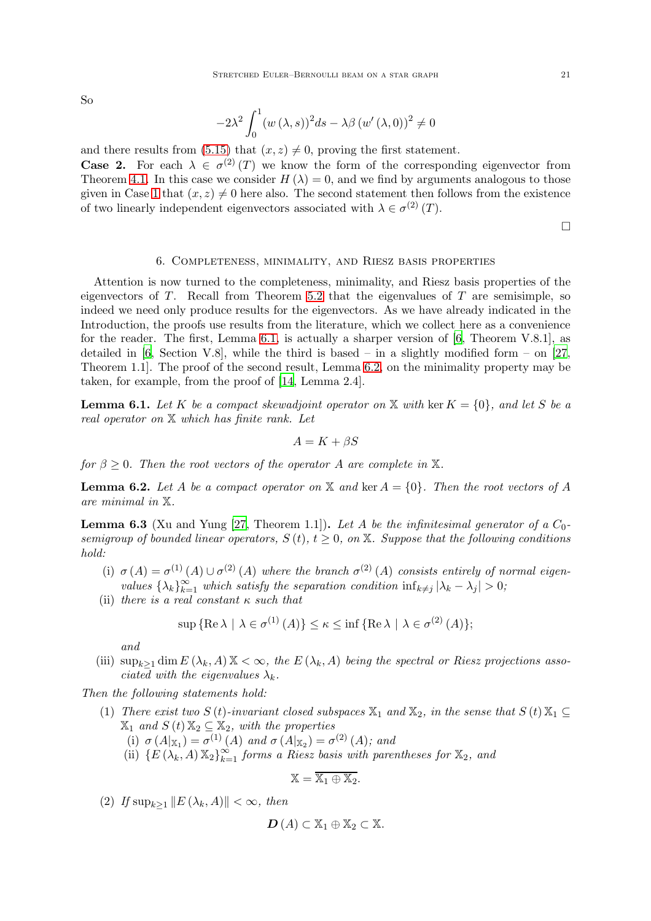So

$$
-2\lambda^{2} \int_{0}^{1} (w(\lambda, s))^{2} ds - \lambda \beta (w'(\lambda, 0))^{2} \neq 0
$$

and there results from [\(5.15\)](#page-19-2) that  $(x, z) \neq 0$ , proving the first statement. **Case 2.** For each  $\lambda \in \sigma^{(2)}(T)$  we know the form of the corresponding eigenvector from Theorem [4.1.](#page-13-2) In this case we consider  $H(\lambda) = 0$ , and we find by arguments analogous to those given in Case [1](#page-19-3) that  $(x, z) \neq 0$  here also. The second statement then follows from the existence of two linearly independent eigenvectors associated with  $\lambda \in \sigma^{(2)}(T)$ .

 $\Box$ 

### 6. Completeness, minimality, and Riesz basis properties

<span id="page-20-0"></span>Attention is now turned to the completeness, minimality, and Riesz basis properties of the eigenvectors of  $T$ . Recall from Theorem [5.2](#page-19-4) that the eigenvalues of  $T$  are semisimple, so indeed we need only produce results for the eigenvectors. As we have already indicated in the Introduction, the proofs use results from the literature, which we collect here as a convenience for the reader. The first, Lemma [6.1,](#page-20-1) is actually a sharper version of [\[6](#page-23-8), Theorem V.8.1], as detailed in [\[6,](#page-23-8) Section V.8], while the third is based – in a slightly modified form – on [\[27](#page-24-9), Theorem 1.1]. The proof of the second result, Lemma [6.2,](#page-20-2) on the minimality property may be taken, for example, from the proof of [\[14](#page-24-14), Lemma 2.4].

<span id="page-20-1"></span>**Lemma 6.1.** Let K be a compact skewadjoint operator on X with ker  $K = \{0\}$ , and let S be a real operator on X which has finite rank. Let

$$
A = K + \beta S
$$

for  $\beta \geq 0$ . Then the root vectors of the operator A are complete in X.

<span id="page-20-2"></span>**Lemma 6.2.** Let A be a compact operator on X and ker  $A = \{0\}$ . Then the root vectors of A are minimal in X.

<span id="page-20-3"></span>**Lemma 6.3** (Xu and Yung [\[27,](#page-24-9) Theorem 1.1]). Let A be the infinitesimal generator of a  $C_0$ semigroup of bounded linear operators,  $S(t)$ ,  $t \geq 0$ , on X. Suppose that the following conditions hold:

- (i)  $\sigma(A) = \sigma^{(1)}(A) \cup \sigma^{(2)}(A)$  where the branch  $\sigma^{(2)}(A)$  consists entirely of normal eigenvalues  $\{\lambda_k\}_{k=1}^{\infty}$  which satisfy the separation condition  $\inf_{k\neq j} |\lambda_k - \lambda_j| > 0$ ;
- (ii) there is a real constant  $\kappa$  such that

$$
\sup\left\{\operatorname{Re}\lambda \mid \lambda \in \sigma^{(1)}\left(A\right)\right\} \leq \kappa \leq \inf\left\{\operatorname{Re}\lambda \mid \lambda \in \sigma^{(2)}\left(A\right)\right\};
$$

and

(iii)  $\sup_{k\geq 1} \dim E(\lambda_k, A) \mathbb{X} < \infty$ , the  $E(\lambda_k, A)$  being the spectral or Riesz projections associated with the eigenvalues  $\lambda_k$ .

Then the following statements hold:

- (1) There exist two S (t)-invariant closed subspaces  $\mathbb{X}_1$  and  $\mathbb{X}_2$ , in the sense that  $S(t) \mathbb{X}_1 \subseteq$  $\mathbb{X}_1$  and  $S(t) \mathbb{X}_2 \subseteq \mathbb{X}_2$ , with the properties
	- (i)  $\sigma(A|x_1) = \sigma^{(1)}(A)$  and  $\sigma(A|x_2) = \sigma^{(2)}(A)$ ; and
	- (ii)  $\{E(\lambda_k, A) \mathbb{X}_2\}_{k=1}^{\infty}$  forms a Riesz basis with parentheses for  $\mathbb{X}_2$ , and

$$
\mathbb{X}=\overline{\mathbb{X}_1\oplus\mathbb{X}_2}.
$$

(2) If  $\sup_{k>1} ||E(\lambda_k, A)|| < \infty$ , then

$$
\mathbf{D}(A) \subset \mathbb{X}_1 \oplus \mathbb{X}_2 \subset \mathbb{X}.
$$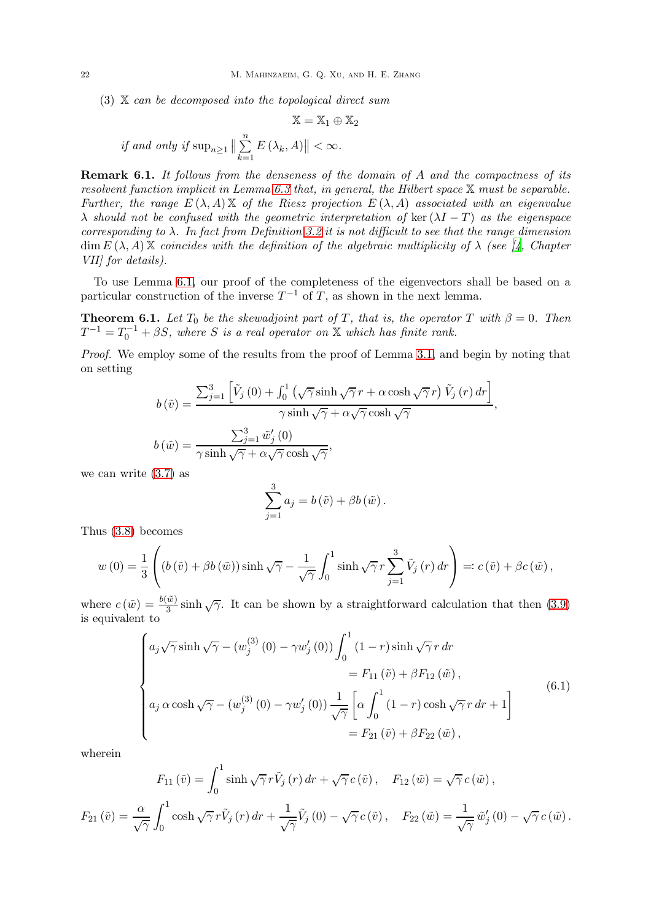$(3)$  X can be decomposed into the topological direct sum

$$
\mathbb{X} = \mathbb{X}_1 \oplus \mathbb{X}_2
$$
  
if and only if  $\sup_{n \ge 1} \left\| \sum_{k=1}^n E(\lambda_k, A) \right\| < \infty$ .

Remark 6.1. It follows from the denseness of the domain of A and the compactness of its resolvent function implicit in Lemma  $6.3$  that, in general, the Hilbert space  $X$  must be separable. Further, the range  $E(\lambda, A) \mathbb{X}$  of the Riesz projection  $E(\lambda, A)$  associated with an eigenvalue  $\lambda$  should not be confused with the geometric interpretation of ker  $(\lambda I - T)$  as the eigenspace corresponding to  $\lambda$ . In fact from Definition [3.2](#page-8-10) it is not difficult to see that the range dimension  $\dim E(\lambda, A)$  X coincides with the definition of the algebraic multiplicity of  $\lambda$  (see [\[4](#page-23-13), Chapter VII] for details).

To use Lemma [6.1,](#page-20-1) our proof of the completeness of the eigenvectors shall be based on a particular construction of the inverse  $T^{-1}$  of T, as shown in the next lemma.

<span id="page-21-1"></span>**Theorem 6.1.** Let  $T_0$  be the skewadjoint part of T, that is, the operator T with  $\beta = 0$ . Then  $T^{-1} = T_0^{-1} + \beta S$ , where S is a real operator on X which has finite rank.

Proof. We employ some of the results from the proof of Lemma [3.1,](#page-5-5) and begin by noting that on setting

$$
b\left(\tilde{v}\right) = \frac{\sum_{j=1}^{3} \left[ \tilde{V}_j\left(0\right) + \int_0^1 \left(\sqrt{\gamma} \sinh\sqrt{\gamma} \, r + \alpha \cosh\sqrt{\gamma} \, r \right) \tilde{V}_j\left(r\right) \, dr \right]}{\gamma \sinh\sqrt{\gamma} + \alpha \sqrt{\gamma} \cosh\sqrt{\gamma}},
$$

$$
b\left(\tilde{w}\right) = \frac{\sum_{j=1}^{3} \tilde{w}'_j\left(0\right)}{\gamma \sinh\sqrt{\gamma} + \alpha \sqrt{\gamma} \cosh\sqrt{\gamma}},
$$

we can write [\(3.7\)](#page-6-1) as

$$
\sum_{j=1}^{3} a_j = b(\tilde{v}) + \beta b(\tilde{w}).
$$

Thus [\(3.8\)](#page-6-4) becomes

$$
w(0) = \frac{1}{3} \left( \left( b\left(\tilde{v}\right) + \beta b\left(\tilde{w}\right) \right) \sinh\sqrt{\gamma} - \frac{1}{\sqrt{\gamma}} \int_0^1 \sinh\sqrt{\gamma} \, r \sum_{j=1}^3 \tilde{V}_j\left(r\right) dr \right) =: c\left(\tilde{v}\right) + \beta c\left(\tilde{w}\right),
$$

where  $c(\tilde{w}) = \frac{b(\tilde{w})}{3} \sinh \sqrt{\gamma}$ . It can be shown by a straightforward calculation that then [\(3.9\)](#page-6-5) is equivalent to

<span id="page-21-0"></span>
$$
\begin{cases}\na_j\sqrt{\gamma}\sinh\sqrt{\gamma} - (w_j^{(3)}(0) - \gamma w_j'(0))\int_0^1 (1-r)\sinh\sqrt{\gamma}r \,dr \\
= F_{11}(\tilde{v}) + \beta F_{12}(\tilde{w}), \\
a_j \alpha \cosh\sqrt{\gamma} - (w_j^{(3)}(0) - \gamma w_j'(0))\frac{1}{\sqrt{\gamma}}\left[\alpha \int_0^1 (1-r)\cosh\sqrt{\gamma}r \,dr + 1\right] \\
= F_{21}(\tilde{v}) + \beta F_{22}(\tilde{w}),\n\end{cases} \tag{6.1}
$$

wherein

$$
F_{11}(\tilde{v}) = \int_0^1 \sinh\sqrt{\gamma} r \tilde{V}_j(r) dr + \sqrt{\gamma} c(\tilde{v}), \quad F_{12}(\tilde{w}) = \sqrt{\gamma} c(\tilde{w}),
$$
  

$$
F_{21}(\tilde{v}) = \frac{\alpha}{\sqrt{\gamma}} \int_0^1 \cosh\sqrt{\gamma} r \tilde{V}_j(r) dr + \frac{1}{\sqrt{\gamma}} \tilde{V}_j(0) - \sqrt{\gamma} c(\tilde{v}), \quad F_{22}(\tilde{w}) = \frac{1}{\sqrt{\gamma}} \tilde{w}'_j(0) - \sqrt{\gamma} c(\tilde{w}).
$$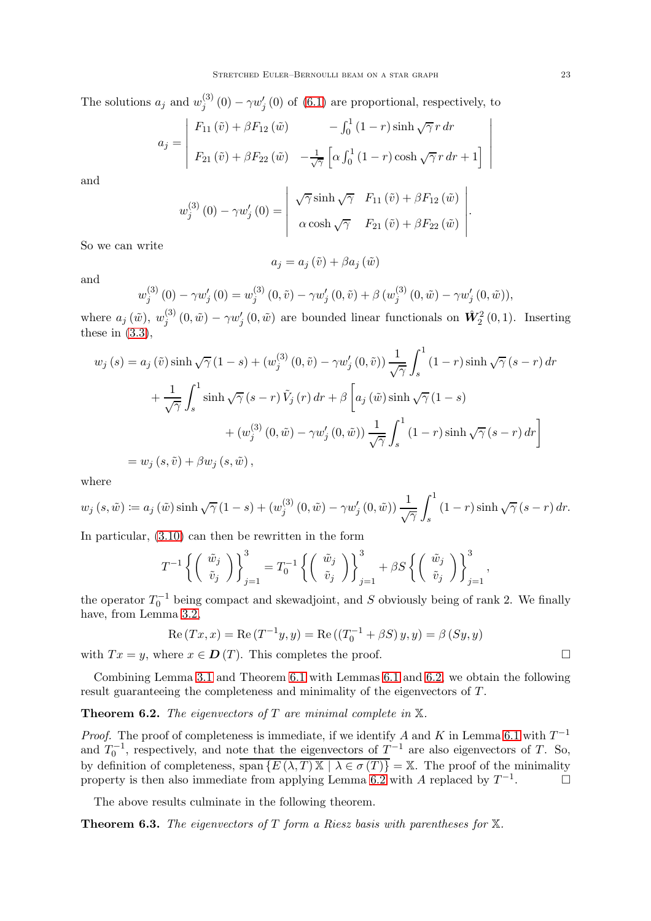The solutions  $a_j$  and  $w_j^{(3)}$  $j_j^{(0)}(0) - \gamma w_j'(0)$  of  $(6.1)$  are proportional, respectively, to

$$
a_j = \begin{vmatrix} F_{11}(\tilde{v}) + \beta F_{12}(\tilde{w}) & -\int_0^1 (1-r) \sinh \sqrt{\gamma} r dr \\ F_{21}(\tilde{v}) + \beta F_{22}(\tilde{w}) & -\frac{1}{\sqrt{\gamma}} \left[ \alpha \int_0^1 (1-r) \cosh \sqrt{\gamma} r dr + 1 \right] \end{vmatrix}
$$

and

$$
w_j^{(3)}(0) - \gamma w_j'(0) = \begin{vmatrix} \sqrt{\gamma} \sinh \sqrt{\gamma} & F_{11}(\tilde{v}) + \beta F_{12}(\tilde{w}) \\ \alpha \cosh \sqrt{\gamma} & F_{21}(\tilde{v}) + \beta F_{22}(\tilde{w}) \end{vmatrix}.
$$

So we can write

and

$$
w_j^{(3)}(0) - \gamma w_j'(0) = w_j^{(3)}(0, \tilde{v}) - \gamma w_j'(0, \tilde{v}) + \beta (w_j^{(3)}(0, \tilde{w}) - \gamma w_j'(0, \tilde{w})),
$$

 $a_j = a_j(\tilde{v}) + \beta a_j(\tilde{w})$ 

where  $a_j(\tilde{w}), w_i^{(3)}$  $j^{(3)}(0,\tilde{w}) - \gamma w_j'(0,\tilde{w})$  are bounded linear functionals on  $\hat{W}_2^2(0,1)$ . Inserting these in  $(3.3)$ ,

$$
w_j(s) = a_j(\tilde{v}) \sinh \sqrt{\gamma} (1-s) + (w_j^{(3)}(0, \tilde{v}) - \gamma w_j'(0, \tilde{v})) \frac{1}{\sqrt{\gamma}} \int_s^1 (1-r) \sinh \sqrt{\gamma} (s-r) dr
$$
  
+ 
$$
\frac{1}{\sqrt{\gamma}} \int_s^1 \sinh \sqrt{\gamma} (s-r) \tilde{V}_j(r) dr + \beta \left[ a_j(\tilde{w}) \sinh \sqrt{\gamma} (1-s) + (w_j^{(3)}(0, \tilde{w}) - \gamma w_j'(0, \tilde{w})) \frac{1}{\sqrt{\gamma}} \int_s^1 (1-r) \sinh \sqrt{\gamma} (s-r) dr \right]
$$
  
= 
$$
w_j(s, \tilde{v}) + \beta w_j(s, \tilde{w}),
$$

where

$$
w_j(s,\tilde{w}) := a_j(\tilde{w}) \sinh \sqrt{\gamma} (1-s) + (w_j^{(3)}(0,\tilde{w}) - \gamma w_j'(0,\tilde{w})) \frac{1}{\sqrt{\gamma}} \int_s^1 (1-r) \sinh \sqrt{\gamma} (s-r) dr.
$$

In particular, [\(3.10\)](#page-7-3) can then be rewritten in the form

$$
T^{-1}\left\{ \left(\begin{array}{c} \tilde{w}_j \\ \tilde{v}_j \end{array}\right) \right\}_{j=1}^3 = T_0^{-1}\left\{ \left(\begin{array}{c} \tilde{w}_j \\ \tilde{v}_j \end{array}\right) \right\}_{j=1}^3 + \beta S\left\{ \left(\begin{array}{c} \tilde{w}_j \\ \tilde{v}_j \end{array}\right) \right\}_{j=1}^3,
$$

the operator  $T_0^{-1}$  being compact and skewadjoint, and S obviously being of rank 2. We finally have, from Lemma [3.2,](#page-7-0)

Re 
$$
(Tx, x)
$$
 = Re  $(T^{-1}y, y)$  = Re  $((T_0^{-1} + \beta S) y, y)$  =  $\beta (Sy, y)$ 

with  $Tx = y$ , where  $x \in D(T)$ . This completes the proof.

Combining Lemma [3.1](#page-5-5) and Theorem [6.1](#page-21-1) with Lemmas [6.1](#page-20-1) and [6.2,](#page-20-2) we obtain the following result guaranteeing the completeness and minimality of the eigenvectors of T.

<span id="page-22-0"></span>**Theorem 6.2.** The eigenvectors of T are minimal complete in  $X$ .

*Proof.* The proof of completeness is immediate, if we identify A and K in Lemma [6.1](#page-20-1) with  $T^{-1}$ and  $T_0^{-1}$ , respectively, and note that the eigenvectors of  $T^{-1}$  are also eigenvectors of T. So, by definition of completeness,  $\overline{\text{span}\{E(\lambda,T)\mathbb{X} \mid \lambda \in \sigma(T)\}} = \mathbb{X}$ . The proof of the minimality property is then also immediate from applying Lemma [6.2](#page-20-2) with A replaced by  $T^{-1}$  $\Box$ 

The above results culminate in the following theorem.

<span id="page-22-1"></span>**Theorem 6.3.** The eigenvectors of T form a Riesz basis with parentheses for  $X$ .

 $\Big\}$  $\Big\}$  $\bigg\}$  $\Big\}$  $\Big\}$  $\bigg\}$  $\overline{\phantom{a}}$ 

$$
\qquad \qquad \Box
$$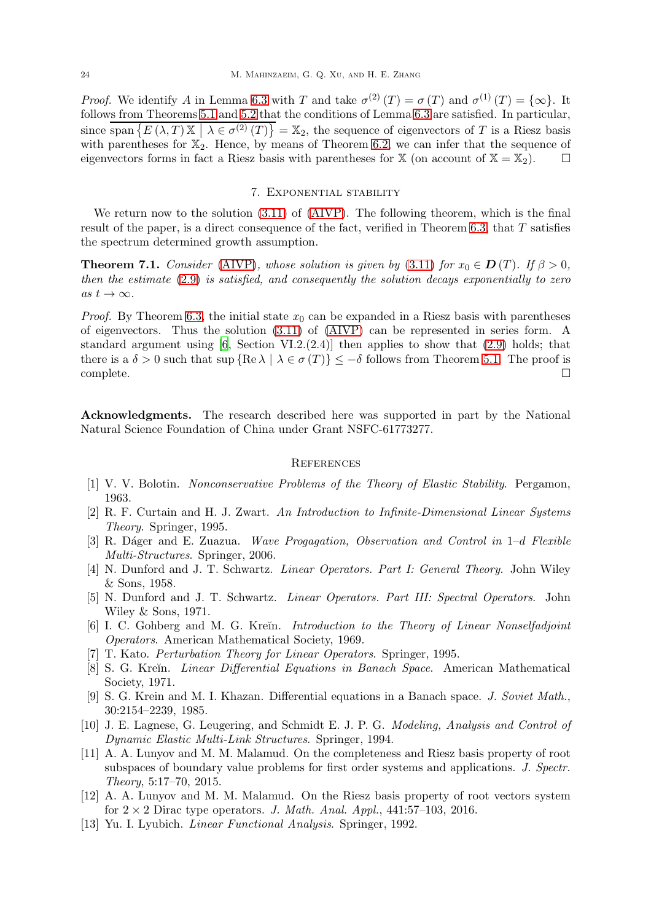*Proof.* We identify A in Lemma [6.3](#page-20-3) with T and take  $\sigma^{(2)}(T) = \sigma(T)$  and  $\sigma^{(1)}(T) = {\infty}$ . It follows from Theorems [5.1](#page-17-0) and [5.2](#page-19-4) that the conditions of Lemma [6.3](#page-20-3) are satisfied. In particular, since  $\overline{\text{span}\{E(\lambda,T)\mathbb{X} \mid \lambda \in \sigma^{(2)}(T)\}} = \mathbb{X}_2$ , the sequence of eigenvectors of T is a Riesz basis with parentheses for  $\mathbb{X}_2$ . Hence, by means of Theorem [6.2,](#page-22-0) we can infer that the sequence of eigenvectors forms in fact a Riesz basis with parentheses for  $X$  (on account of  $X = X_2$ ).

#### 7. Exponential stability

<span id="page-23-7"></span>We return now to the solution [\(3.11\)](#page-7-2) of [\(AIVP\)](#page-4-0). The following theorem, which is the final result of the paper, is a direct consequence of the fact, verified in Theorem [6.3,](#page-22-1) that T satisfies the spectrum determined growth assumption.

**Theorem 7.1.** Consider [\(AIVP\)](#page-4-0), whose solution is given by [\(3.11\)](#page-7-2) for  $x_0 \in D(T)$ . If  $\beta > 0$ , then the estimate [\(2.9\)](#page-5-1) is satisfied, and consequently the solution decays exponentially to zero as  $t \to \infty$ .

*Proof.* By Theorem [6.3,](#page-22-1) the initial state  $x_0$  can be expanded in a Riesz basis with parentheses of eigenvectors. Thus the solution [\(3.11\)](#page-7-2) of [\(AIVP\)](#page-4-0) can be represented in series form. A standard argument using  $[6, Section VI.2.(2.4)]$  then applies to show that  $(2.9)$  holds; that there is a  $\delta > 0$  such that sup  $\{ \text{Re } \lambda \mid \lambda \in \sigma(T) \} \le -\delta$  follows from Theorem [5.1.](#page-17-0) The proof is complete.  $\Box$ complete.  $\Box$ 

Acknowledgments. The research described here was supported in part by the National Natural Science Foundation of China under Grant NSFC-61773277.

#### **REFERENCES**

- <span id="page-23-0"></span>[1] V. V. Bolotin. Nonconservative Problems of the Theory of Elastic Stability. Pergamon, 1963.
- <span id="page-23-5"></span>[2] R. F. Curtain and H. J. Zwart. An Introduction to Infinite-Dimensional Linear Systems Theory. Springer, 1995.
- <span id="page-23-3"></span>[3] R. Dáger and E. Zuazua. Wave Progagation, Observation and Control in 1–d Flexible Multi-Structures. Springer, 2006.
- <span id="page-23-13"></span>[4] N. Dunford and J. T. Schwartz. Linear Operators. Part I: General Theory. John Wiley & Sons, 1958.
- <span id="page-23-1"></span>[5] N. Dunford and J. T. Schwartz. Linear Operators. Part III: Spectral Operators. John Wiley & Sons, 1971.
- <span id="page-23-8"></span>[6] I. C. Gohberg and M. G. Kreĭn. *Introduction to the Theory of Linear Nonselfadjoint* Operators. American Mathematical Society, 1969.
- <span id="page-23-12"></span>[7] T. Kato. Perturbation Theory for Linear Operators. Springer, 1995.
- <span id="page-23-6"></span>[8] S. G. Kreĭn. *Linear Differential Equations in Banach Space*. American Mathematical Society, 1971.
- <span id="page-23-2"></span>[9] S. G. Krein and M. I. Khazan. Differential equations in a Banach space. J. Soviet Math., 30:2154–2239, 1985.
- <span id="page-23-4"></span>[10] J. E. Lagnese, G. Leugering, and Schmidt E. J. P. G. Modeling, Analysis and Control of Dynamic Elastic Multi-Link Structures. Springer, 1994.
- <span id="page-23-9"></span>[11] A. A. Lunyov and M. M. Malamud. On the completeness and Riesz basis property of root subspaces of boundary value problems for first order systems and applications. J. Spectr. Theory, 5:17–70, 2015.
- <span id="page-23-10"></span>[12] A. A. Lunyov and M. M. Malamud. On the Riesz basis property of root vectors system for  $2 \times 2$  Dirac type operators. J. Math. Anal. Appl., 441:57-103, 2016.
- <span id="page-23-11"></span>[13] Yu. I. Lyubich. Linear Functional Analysis. Springer, 1992.